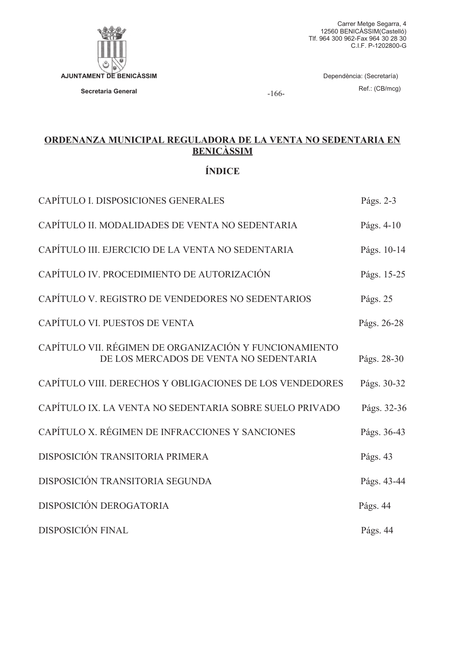

 $-166-$ 

# ORDENANZA MUNICIPAL REGULADORA DE LA VENTA NO SEDENTARIA EN **BENICASSIM**

# **ÍNDICE**

| CAPÍTULO I. DISPOSICIONES GENERALES                                                              | Págs. 2-3   |
|--------------------------------------------------------------------------------------------------|-------------|
| CAPÍTULO II. MODALIDADES DE VENTA NO SEDENTARIA                                                  | Págs. 4-10  |
| CAPÍTULO III. EJERCICIO DE LA VENTA NO SEDENTARIA                                                | Págs. 10-14 |
| CAPÍTULO IV. PROCEDIMIENTO DE AUTORIZACIÓN                                                       | Págs. 15-25 |
| CAPÍTULO V. REGISTRO DE VENDEDORES NO SEDENTARIOS                                                | Págs. 25    |
| CAPÍTULO VI. PUESTOS DE VENTA                                                                    | Págs. 26-28 |
| CAPÍTULO VII. RÉGIMEN DE ORGANIZACIÓN Y FUNCIONAMIENTO<br>DE LOS MERCADOS DE VENTA NO SEDENTARIA | Págs. 28-30 |
| CAPÍTULO VIII. DERECHOS Y OBLIGACIONES DE LOS VENDEDORES                                         | Págs. 30-32 |
| CAPÍTULO IX. LA VENTA NO SEDENTARIA SOBRE SUELO PRIVADO                                          | Págs. 32-36 |
| CAPÍTULO X. RÉGIMEN DE INFRACCIONES Y SANCIONES                                                  | Págs. 36-43 |
| DISPOSICIÓN TRANSITORIA PRIMERA                                                                  | Págs. 43    |
| DISPOSICIÓN TRANSITORIA SEGUNDA                                                                  | Págs. 43-44 |
| DISPOSICIÓN DEROGATORIA                                                                          | Págs. 44    |
| <b>DISPOSICIÓN FINAL</b>                                                                         | Págs. 44    |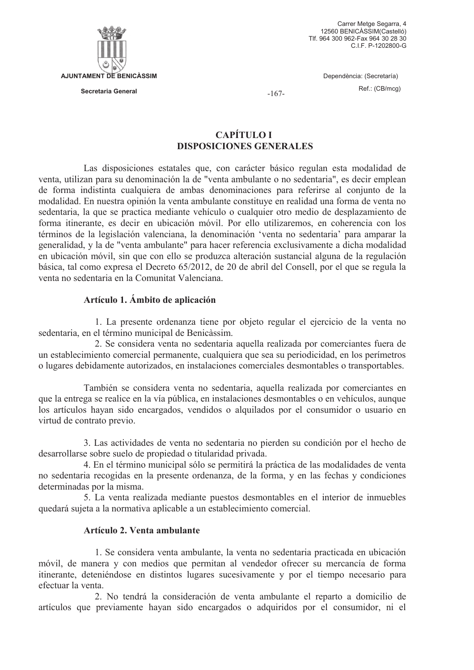

Carrer Metge Segarra, 4 12560 BENICASSIM(Castelló) Tlf. 964 300 962-Fax 964 30 28 30 C.I.F. P-1202800-G

Dependència: (Secretaría)

Ref.: (CB/mcg)

 $-167-$ 

# **CAPÍTULO I DISPOSICIONES GENERALES**

Las disposiciones estatales que, con carácter básico regulan esta modalidad de venta, utilizan para su denominación la de "venta ambulante o no sedentaria", es decir emplean de forma indistinta cualquiera de ambas denominaciones para referirse al conjunto de la modalidad. En nuestra opinión la venta ambulante constituye en realidad una forma de venta no sedentaria, la que se practica mediante vehículo o cualquier otro medio de desplazamiento de forma itinerante, es decir en ubicación móvil. Por ello utilizaremos, en coherencia con los términos de la legislación valenciana, la denominación 'venta no sedentaria' para amparar la generalidad, y la de "venta ambulante" para hacer referencia exclusivamente a dicha modalidad en ubicación móvil, sin que con ello se produzca alteración sustancial alguna de la regulación básica, tal como expresa el Decreto 65/2012, de 20 de abril del Consell, por el que se regula la venta no sedentaria en la Comunitat Valenciana.

## Artículo 1. Ámbito de aplicación

1. La presente ordenanza tiene por objeto regular el ejercicio de la venta no sedentaria, en el término municipal de Benicàssim.

2. Se considera venta no sedentaria aquella realizada por comerciantes fuera de un establecimiento comercial permanente, cualquiera que sea su periodicidad, en los perímetros o lugares debidamente autorizados, en instalaciones comerciales desmontables o transportables.

También se considera venta no sedentaria, aquella realizada por comerciantes en que la entrega se realice en la vía pública, en instalaciones desmontables o en vehículos, aunque los artículos hayan sido encargados, vendidos o alquilados por el consumidor o usuario en virtud de contrato previo.

3. Las actividades de venta no sedentaria no pierden su condición por el hecho de desarrollarse sobre suelo de propiedad o titularidad privada.

4. En el término municipal sólo se permitirá la práctica de las modalidades de venta no sedentaria recogidas en la presente ordenanza, de la forma, y en las fechas y condiciones determinadas por la misma.

5. La venta realizada mediante puestos desmontables en el interior de inmuebles quedará sujeta a la normativa aplicable a un establecimiento comercial.

### Artículo 2. Venta ambulante

1. Se considera venta ambulante, la venta no sedentaria practicada en ubicación móvil, de manera y con medios que permitan al vendedor ofrecer su mercancía de forma itinerante, deteniéndose en distintos lugares sucesivamente y por el tiempo necesario para efectuar la venta

2. No tendrá la consideración de venta ambulante el reparto a domicilio de artículos que previamente havan sido encargados o adquiridos por el consumidor, ni el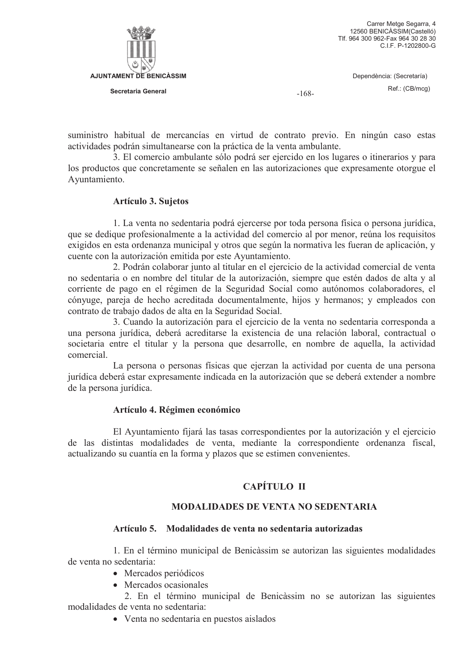

Dependència: (Secretaría)

 $-168-$ 

Ref.: (CB/mcg)

suministro habitual de mercancías en virtud de contrato previo. En ningún caso estas actividades podrán simultanearse con la práctica de la venta ambulante.

3. El comercio ambulante sólo podrá ser ejercido en los lugares o itinerarios y para los productos que concretamente se señalen en las autorizaciones que expresamente otorgue el Ayuntamiento.

# **Artículo 3. Sujetos**

1. La venta no sedentaria podrá ejercerse por toda persona física o persona jurídica, que se dedique profesionalmente a la actividad del comercio al por menor, reúna los requisitos exigidos en esta ordenanza municipal y otros que según la normativa les fueran de aplicación, y cuente con la autorización emitida por este Ayuntamiento.

2. Podrán colaborar junto al titular en el ejercicio de la actividad comercial de venta no sedentaria o en nombre del titular de la autorización, siempre que estén dados de alta y al corriente de pago en el régimen de la Seguridad Social como autónomos colaboradores, el cónyuge, pareja de hecho acreditada documentalmente, hijos y hermanos; y empleados con contrato de trabajo dados de alta en la Seguridad Social.

3. Cuando la autorización para el ejercicio de la venta no sedentaria corresponda a una persona jurídica, deberá acreditarse la existencia de una relación laboral, contractual o societaria entre el titular y la persona que desarrolle, en nombre de aquella, la actividad comercial

La persona o personas físicas que ejerzan la actividad por cuenta de una persona jurídica deberá estar expresamente indicada en la autorización que se deberá extender a nombre de la persona jurídica.

# Artículo 4. Régimen económico

El Ayuntamiento fijará las tasas correspondientes por la autorización y el ejercicio de las distintas modalidades de venta, mediante la correspondiente ordenanza fiscal, actualizando su cuantía en la forma y plazos que se estimen convenientes.

# CAPÍTILO II

# **MODALIDADES DE VENTA NO SEDENTARIA**

# Artículo 5. Modalidades de venta no sedentaria autorizadas

1. En el término municipal de Benicàssim se autorizan las siguientes modalidades de venta no sedentaria:

- Mercados periódicos
- Mercados ocasionales

2. En el término municipal de Benicàssim no se autorizan las siguientes modalidades de venta no sedentaria:

• Venta no sedentaria en puestos aislados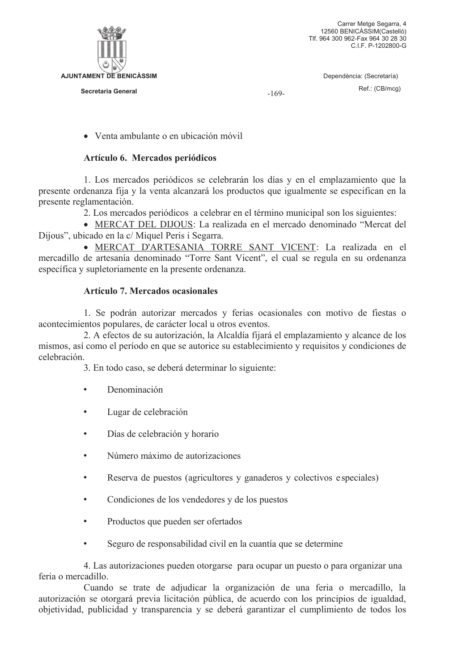

 $-169-$ 

• Venta ambulante o en ubicación móvil

## Artículo 6. Mercados periódicos

1. Los mercados periódicos se celebrarán los días y en el emplazamiento que la presente ordenanza fija y la venta alcanzará los productos que igualmente se especifican en la presente reglamentación.

2. Los mercados periódicos a celebrar en el término municipal son los siguientes:

• MERCAT DEL DIJOUS: La realizada en el mercado denominado "Mercat del Dijous", ubicado en la c/ Miquel Peris i Segarra.

· MERCAT D'ARTESANIA TORRE SANT VICENT: La realizada en el mercadillo de artesanía denominado "Torre Sant Vicent", el cual se regula en su ordenanza específica y supletoriamente en la presente ordenanza.

## Artículo 7. Mercados ocasionales

1. Se podrán autorizar mercados y ferias ocasionales con motivo de fiestas o acontecimientos populares, de carácter local u otros eventos.

2. A efectos de su autorización, la Alcaldía fijará el emplazamiento y alcance de los mismos, así como el período en que se autorice su establecimiento y requisitos y condiciones de celebración.

3. En todo caso, se deberá determinar lo siguiente:

- Denominación  $\bullet$
- $\bullet$ Lugar de celebración
- Días de celebración y horario  $\bullet$
- Número máximo de autorizaciones
- Reserva de puestos (agricultores y ganaderos y colectivos especiales)
- Condiciones de los vendedores y de los puestos  $\bullet$
- $\bullet$ Productos que pueden ser ofertados
- $\bullet$ Seguro de responsabilidad civil en la cuantía que se determine

4. Las autorizaciones pueden otorgarse para ocupar un puesto o para organizar una feria o mercadillo.

Cuando se trate de adjudicar la organización de una feria o mercadillo, la autorización se otorgará previa licitación pública, de acuerdo con los principios de igualdad. objetividad, publicidad y transparencia y se deberá garantizar el cumplimiento de todos los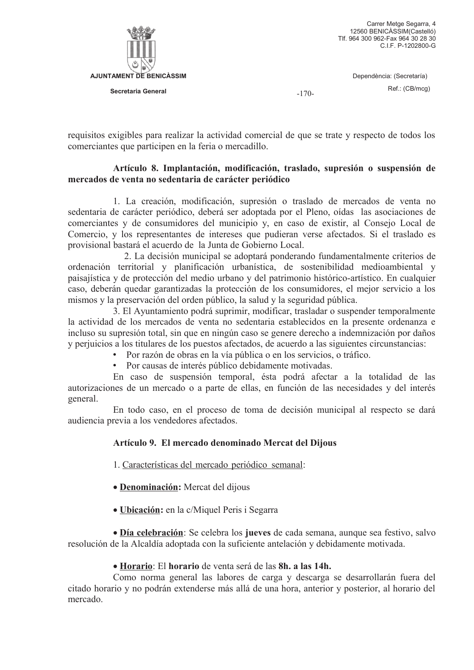

 $-170-$ 

requisitos exigibles para realizar la actividad comercial de que se trate y respecto de todos los comerciantes que participen en la feria o mercadillo.

## Artículo 8. Implantación, modificación, traslado, supresión o suspensión de mercados de venta no sedentaria de carácter periódico

1. La creación, modificación, supresión o traslado de mercados de venta no sedentaria de carácter periódico, deberá ser adoptada por el Pleno, oídas las asociaciones de comerciantes y de consumidores del municipio y, en caso de existir, al Consejo Local de Comercio, y los representantes de intereses que pudieran verse afectados. Si el traslado es provisional bastará el acuerdo de la Junta de Gobierno Local.

2. La decisión municipal se adoptará ponderando fundamentalmente criterios de ordenación territorial y planificación urbanística, de sostenibilidad medioambiental y paisajística y de protección del medio urbano y del patrimonio histórico-artístico. En cualquier caso, deberán quedar garantizadas la protección de los consumidores, el mejor servicio a los mismos y la preservación del orden público, la salud y la seguridad pública.

3. El Ayuntamiento podrá suprimir, modificar, trasladar o suspender temporalmente la actividad de los mercados de venta no sedentaria establecidos en la presente ordenanza e incluso su supresión total, sin que en ningún caso se genere derecho a indemnización por daños y periulicios a los titulares de los puestos afectados, de acuerdo a las siguientes circunstancias:

- Por razón de obras en la vía pública o en los servicios, o tráfico.
- Por causas de interés público debidamente motivadas.

En caso de suspensión temporal, ésta podrá afectar a la totalidad de las autorizaciones de un mercado o a parte de ellas, en función de las necesidades y del interés general.

En todo caso, en el proceso de toma de decisión municipal al respecto se dará audiencia previa a los vendedores afectados.

# Artículo 9. El mercado denominado Mercat del Dijous

1. Características del mercado periódico semanal:

- Denominación: Mercat del dijous
- Ubicación: en la c/Miquel Peris i Segarra

• Día celebración: Se celebra los jueves de cada semana, aunque sea festivo, salvo resolución de la Alcaldía adoptada con la suficiente antelación y debidamente motivada.

### · Horario: El horario de venta será de las 8h. a las 14h.

Como norma general las labores de carga y descarga se desarrollarán fuera del citado horario y no podrán extenderse más allá de una hora, anterior y posterior, al horario del mercado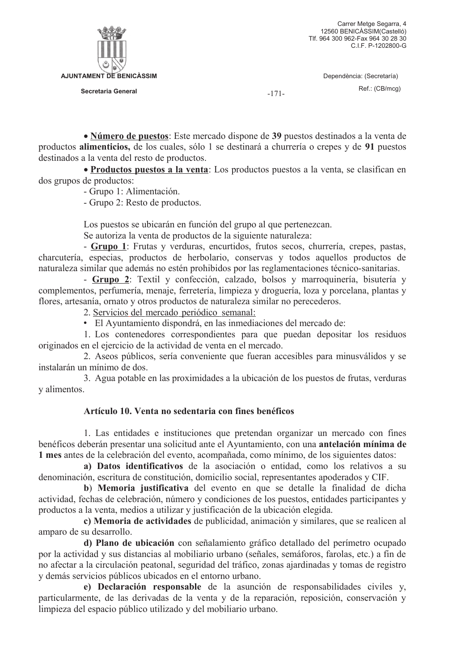

 $-171-$ 

• Número de puestos: Este mercado dispone de 39 puestos destinados a la venta de productos alimenticios, de los cuales, sólo 1 se destinará a churrería o crepes y de 91 puestos destinados a la venta del resto de productos.

• Productos puestos a la venta: Los productos puestos a la venta, se clasifican en dos grupos de productos:

- Grupo 1: Alimentación.

- Grupo 2: Resto de productos.

Los puestos se ubicarán en función del grupo al que pertenezcan.

Se autoriza la venta de productos de la siguiente naturaleza:

- Grupo 1: Frutas y verduras, encurtidos, frutos secos, churrería, crepes, pastas, charcutería, especias, productos de herbolario, conservas y todos aquellos productos de naturaleza similar que además no estén prohibidos por las reglamentaciones técnico-sanitarias.

- Grupo 2: Textil y confección, calzado, bolsos y marroquinería, bisutería y complementos, perfumería, menaje, ferretería, limpieza y droguería, loza y porcelana, plantas y flores, artesanía, ornato y otros productos de naturaleza similar no perecederos.

2. Servicios del mercado periódico semanal:

· El Ayuntamiento dispondrá, en las inmediaciones del mercado de:

1. Los contenedores correspondientes para que puedan depositar los residuos originados en el ejercicio de la actividad de venta en el mercado.

2. Aseos públicos, sería conveniente que fueran accesibles para minusválidos y se instalarán un mínimo de dos.

3. Agua potable en las proximidades a la ubicación de los puestos de frutas, verduras y alimentos.

# Artículo 10. Venta no sedentaria con fines benéficos

1. Las entidades e instituciones que pretendan organizar un mercado con fines benéficos deberán presentar una solicitud ante el Ayuntamiento, con una antelación mínima de 1 mes antes de la celebración del evento, acompañada, como mínimo, de los siguientes datos:

a) Datos identificativos de la asociación o entidad, como los relativos a su denominación, escritura de constitución, domicilio social, representantes apoderados y CIF.

b) Memoria justificativa del evento en que se detalle la finalidad de dicha actividad, fechas de celebración, número y condiciones de los puestos, entidades participantes y productos a la venta, medios a utilizar y justificación de la ubicación elegida.

c) Memoria de actividades de publicidad, animación y similares, que se realicen al amparo de su desarrollo.

d) Plano de ubicación con señalamiento gráfico detallado del perímetro ocupado por la actividad y sus distancias al mobiliario urbano (señales, semáforos, farolas, etc.) a fin de no afectar a la circulación peatonal, seguridad del tráfico, zonas ajardinadas y tomas de registro y demás servicios públicos ubicados en el entorno urbano.

e) Declaración responsable de la asunción de responsabilidades civiles y, particularmente, de las derivadas de la venta y de la reparación, reposición, conservación y limpieza del espacio público utilizado y del mobiliario urbano.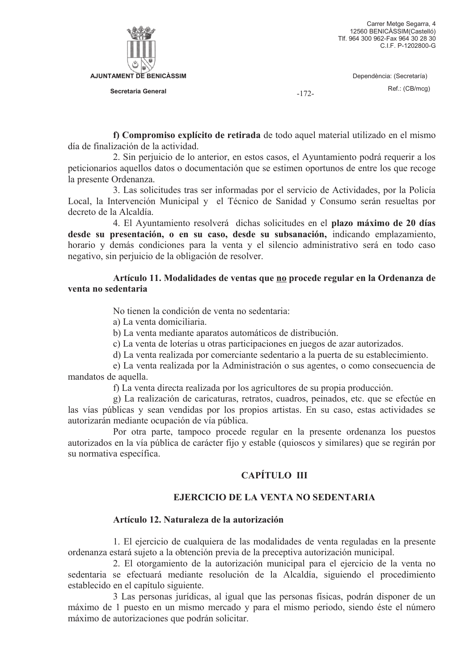

Dependència: (Secretaría)

 $-172-$ 

Ref.: (CB/mcg)

f) Compromiso explícito de retirada de todo aquel material utilizado en el mismo día de finalización de la actividad

2. Sin perjuicio de lo anterior, en estos casos, el Ayuntamiento podrá requerir a los peticionarios aquellos datos o documentación que se estimen oportunos de entre los que recoge la presente Ordenanza.

3. Las solicitudes tras ser informadas por el servicio de Actividades, por la Policía Local, la Intervención Municipal y el Técnico de Sanidad y Consumo serán resueltas por decreto de la Alcaldía.

4. El Ayuntamiento resolverá dichas solicitudes en el plazo máximo de 20 días desde su presentación, o en su caso, desde su subsanación, indicando emplazamiento, horario y demás condiciones para la venta y el silencio administrativo será en todo caso negativo, sin perjuicio de la obligación de resolver.

## Artículo 11. Modalidades de ventas que no procede regular en la Ordenanza de venta no sedentaria

No tienen la condición de venta no sedentaria:

a) La venta domiciliaria.

b) La venta mediante aparatos automáticos de distribución.

c) La venta de loterías u otras participaciones en juegos de azar autorizados.

d) La venta realizada por comerciante sedentario a la puerta de su establecimiento.

e) La venta realizada por la Administración o sus agentes, o como consecuencia de mandatos de aquella.

f) La venta directa realizada por los agricultores de su propia producción.

g) La realización de caricaturas, retratos, cuadros, peinados, etc. que se efectúe en las vías públicas y sean vendidas por los propios artistas. En su caso, estas actividades se autorizarán mediante ocupación de vía pública.

Por otra parte, tampoco procede regular en la presente ordenanza los puestos autorizados en la vía pública de carácter fijo y estable (quioscos y similares) que se regirán por su normativa específica.

# **CAPÍTULO III**

# EJERCICIO DE LA VENTA NO SEDENTARIA

### Artículo 12. Naturaleza de la autorización

1. El ejercicio de cualquiera de las modalidades de venta reguladas en la presente ordenanza estará sujeto a la obtención previa de la preceptiva autorización municipal.

2. El otorgamiento de la autorización municipal para el ejercicio de la venta no sedentaria se efectuará mediante resolución de la Alcaldía, siguiendo el procedimiento establecido en el capítulo siguiente.

3 Las personas jurídicas, al igual que las personas físicas, podrán disponer de un máximo de 1 puesto en un mismo mercado y para el mismo periodo, siendo éste el número máximo de autorizaciones que podrán solicitar.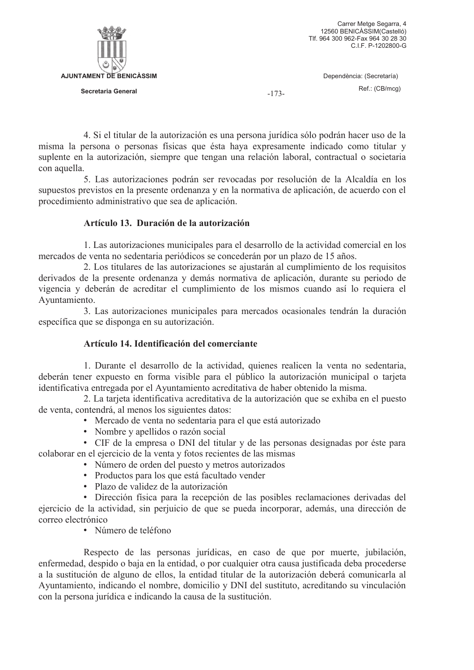

 $-173-$ 

4. Si el titular de la autorización es una persona jurídica sólo podrán hacer uso de la misma la persona o personas físicas que ésta haya expresamente indicado como titular y suplente en la autorización, siempre que tengan una relación laboral, contractual o societaria con aquella.

5. Las autorizaciones podrán ser revocadas por resolución de la Alcaldía en los supuestos previstos en la presente ordenanza y en la normativa de aplicación, de acuerdo con el procedimiento administrativo que sea de aplicación.

# Artículo 13. Duración de la autorización

1. Las autorizaciones municipales para el desarrollo de la actividad comercial en los mercados de venta no sedentaria periódicos se concederán por un plazo de 15 años.

2. Los titulares de las autorizaciones se ajustarán al cumplimiento de los requisitos derivados de la presente ordenanza y demás normativa de aplicación, durante su periodo de vigencia y deberán de acreditar el cumplimiento de los mismos cuando así lo requiera el Avuntamiento.

3. Las autorizaciones municipales para mercados ocasionales tendrán la duración específica que se disponga en su autorización.

# Artículo 14. Identificación del comerciante

1. Durante el desarrollo de la actividad, quienes realicen la venta no sedentaria, deberán tener expuesto en forma visible para el público la autorización municipal o tarieta identificativa entregada por el Avuntamiento acreditativa de haber obtenido la misma.

2. La tarjeta identificativa acreditativa de la autorización que se exhiba en el puesto de venta, contendrá, al menos los siguientes datos:

- Mercado de venta no sedentaria para el que está autorizado
- Nombre y apellidos o razón social

· CIF de la empresa o DNI del titular y de las personas designadas por éste para colaborar en el ejercicio de la venta y fotos recientes de las mismas

- Número de orden del puesto y metros autorizados
- Productos para los que está facultado vender
- · Plazo de validez de la autorización

· Dirección física para la recepción de las posibles reclamaciones derivadas del ejercicio de la actividad, sin perjuicio de que se pueda incorporar, además, una dirección de correo electrónico

· Número de teléfono

Respecto de las personas jurídicas, en caso de que por muerte, jubilación, enfermedad, despido o baja en la entidad, o por cualquier otra causa justificada deba procederse a la sustitución de alguno de ellos, la entidad titular de la autorización deberá comunicarla al Ayuntamiento, indicando el nombre, domicilio y DNI del sustituto, acreditando su vinculación con la persona jurídica e indicando la causa de la sustitución.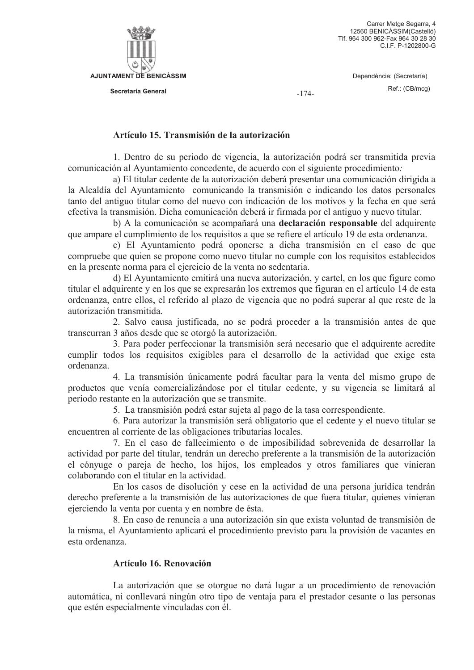

 $-174-$ 

### Artículo 15. Transmisión de la autorización

1. Dentro de su periodo de vigencia, la autorización podrá ser transmitida previa comunicación al Ayuntamiento concedente, de acuerdo con el siguiente procedimiento:

a) El titular cedente de la autorización deberá presentar una comunicación dirigida a la Alcaldía del Ayuntamiento comunicando la transmisión e indicando los datos personales tanto del antiguo titular como del nuevo con indicación de los motivos y la fecha en que será efectiva la transmisión. Dicha comunicación deberá ir firmada por el antiguo y nuevo titular.

b) A la comunicación se acompañará una declaración responsable del adquirente que ampare el cumplimiento de los requisitos a que se refiere el artículo 19 de esta ordenanza.

c) El Ayuntamiento podrá oponerse a dicha transmisión en el caso de que compruebe que quien se propone como nuevo titular no cumple con los requisitos establecidos en la presente norma para el ejercicio de la venta no sedentaria.

d) El Ayuntamiento emitirá una nueva autorización, y cartel, en los que figure como titular el adquirente y en los que se expresarán los extremos que figuran en el artículo 14 de esta ordenanza, entre ellos, el referido al plazo de vigencia que no podrá superar al que reste de la autorización transmitida.

2. Salvo causa justificada, no se podrá proceder a la transmisión antes de que transcurran 3 años desde que se otorgó la autorización.

3. Para poder perfeccionar la transmisión será necesario que el adquirente acredite cumplir todos los requisitos exigibles para el desarrollo de la actividad que exige esta ordenanza.

4. La transmisión únicamente podrá facultar para la venta del mismo grupo de productos que venía comercializándose por el titular cedente, y su vigencia se limitará al periodo restante en la autorización que se transmite.

5. La transmisión podrá estar sujeta al pago de la tasa correspondiente.

6. Para autorizar la transmisión será obligatorio que el cedente y el nuevo titular se encuentren al corriente de las obligaciones tributarias locales.

7. En el caso de fallecimiento o de imposibilidad sobrevenida de desarrollar la actividad por parte del titular, tendrán un derecho preferente a la transmisión de la autorización el cónyuge o pareja de hecho, los hijos, los empleados y otros familiares que vinieran colaborando con el titular en la actividad.

En los casos de disolución y cese en la actividad de una persona jurídica tendrán derecho preferente a la transmisión de las autorizaciones de que fuera titular, quienes vinieran ejerciendo la venta por cuenta y en nombre de ésta.

8. En caso de renuncia a una autorización sin que exista voluntad de transmisión de la misma, el Ayuntamiento aplicará el procedimiento previsto para la provisión de vacantes en esta ordenanza

## Artículo 16. Renovación

La autorización que se otorgue no dará lugar a un procedimiento de renovación automática, ni conllevará ningún otro tipo de ventaja para el prestador cesante o las personas que estén especialmente vinculadas con él.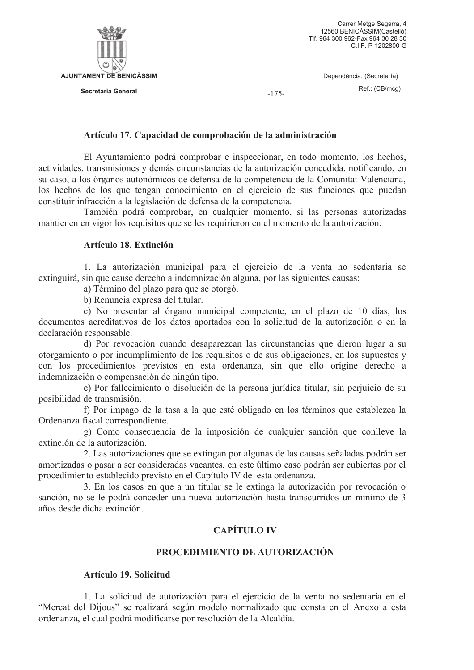

 $-175-$ 

### Artículo 17. Capacidad de comprobación de la administración

El Ayuntamiento podrá comprobar e inspeccionar, en todo momento, los hechos, actividades, transmisiones y demás circunstancias de la autorización concedida, notificando, en su caso, a los órganos autonómicos de defensa de la competencia de la Comunitat Valenciana, los hechos de los que tengan conocimiento en el ejercicio de sus funciones que puedan constituir infracción a la legislación de defensa de la competencia.

También podrá comprobar, en cualquier momento, si las personas autorizadas mantienen en vigor los requisitos que se les requirieron en el momento de la autorización.

### Artículo 18. Extinción

1. La autorización municipal para el ejercicio de la venta no sedentaria se extinguirá, sin que cause derecho a indemnización alguna, por las siguientes causas:

a) Término del plazo para que se otorgó.

b) Renuncia expresa del titular.

c) No presentar al órgano municipal competente, en el plazo de 10 días, los documentos acreditativos de los datos aportados con la solicitud de la autorización o en la declaración responsable.

d) Por revocación cuando desaparezcan las circunstancias que dieron lugar a su otorgamiento o por incumplimiento de los requisitos o de sus obligaciones, en los supuestos y con los procedimientos previstos en esta ordenanza, sin que ello origine derecho a indemnización o compensación de ningún tipo.

e) Por fallecimiento o disolución de la persona jurídica titular, sin perjuicio de su posibilidad de transmisión.

f) Por impago de la tasa a la que esté obligado en los términos que establezca la Ordenanza fiscal correspondiente.

g) Como consecuencia de la imposición de cualquier sanción que conlleve la extinción de la autorización.

2. Las autorizaciones que se extingan por algunas de las causas señaladas podrán ser amortizadas o pasar a ser consideradas vacantes, en este último caso podrán ser cubiertas por el procedimiento establecido previsto en el Capítulo IV de esta ordenanza.

3. En los casos en que a un titular se le extinga la autorización por revocación o sanción, no se le podrá conceder una nueva autorización hasta transcurridos un mínimo de 3 años desde dicha extinción.

# **CAPÍTILO IV**

## PROCEDIMIENTO DE AUTORIZACIÓN

### Artículo 19. Solicitud

1. La solicitud de autorización para el ejercicio de la venta no sedentaria en el "Mercat del Dijous" se realizará según modelo normalizado que consta en el Anexo a esta ordenanza, el cual podrá modificarse por resolución de la Alcaldía.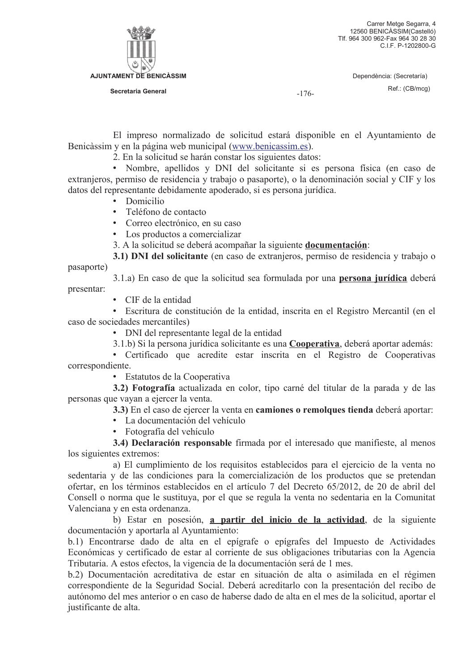

 $-176-$ 

El impreso normalizado de solicitud estará disponible en el Ayuntamiento de Benicàssim y en la página web municipal (www.benicassim.es).

2. En la solicitud se harán constar los siguientes datos:

· Nombre, apellidos y DNI del solicitante si es persona física (en caso de extranjeros, permiso de residencia y trabajo o pasaporte), o la denominación social y CIF y los datos del representante debidamente apoderado, si es persona jurídica.

- Domicilio
- Teléfono de contacto
- Correo electrónico, en su caso
- Los productos a comercializar

3. A la solicitud se deberá acompañar la siguiente **documentación**:

3.1) DNI del solicitante (en caso de extranjeros, permiso de residencia y trabajo o

pasaporte)

3.1.a) En caso de que la solicitud sea formulada por una **persona jurídica** deberá

presentar:

• CIF de la entidad

· Escritura de constitución de la entidad, inscrita en el Registro Mercantil (en el caso de sociedades mercantiles)

• DNI del representante legal de la entidad

3.1.b) Si la persona jurídica solicitante es una Cooperativa, deberá aportar además:

• Certificado que acredite estar inscrita en el Registro de Cooperativas correspondiente.

• Estatutos de la Cooperativa

3.2) Fotografía actualizada en color, tipo carné del titular de la parada y de las personas que vayan a ejercer la venta.

3.3) En el caso de ejercer la venta en camiones o remolques tienda deberá aportar:

• La documentación del vehículo

• Fotografía del vehículo

3.4) Declaración responsable firmada por el interesado que manifieste, al menos los siguientes extremos:

a) El cumplimiento de los requisitos establecidos para el ejercicio de la venta no sedentaria y de las condiciones para la comercialización de los productos que se pretendan ofertar, en los términos establecidos en el artículo 7 del Decreto 65/2012, de 20 de abril del Consell o norma que le sustituya, por el que se regula la venta no sedentaria en la Comunitat Valenciana y en esta ordenanza.

b) Estar en posesión, a partir del inicio de la actividad, de la siguiente documentación y aportarla al Ayuntamiento:

b.1) Encontrarse dado de alta en el epígrafe o epígrafes del Impuesto de Actividades Económicas y certificado de estar al corriente de sus obligaciones tributarias con la Agencia Tributaria. A estos efectos, la vigencia de la documentación será de 1 mes.

b.2) Documentación acreditativa de estar en situación de alta o asimilada en el régimen correspondiente de la Seguridad Social. Deberá acreditarlo con la presentación del recibo de autónomo del mes anterior o en caso de haberse dado de alta en el mes de la solicitud, aportar el justificante de alta.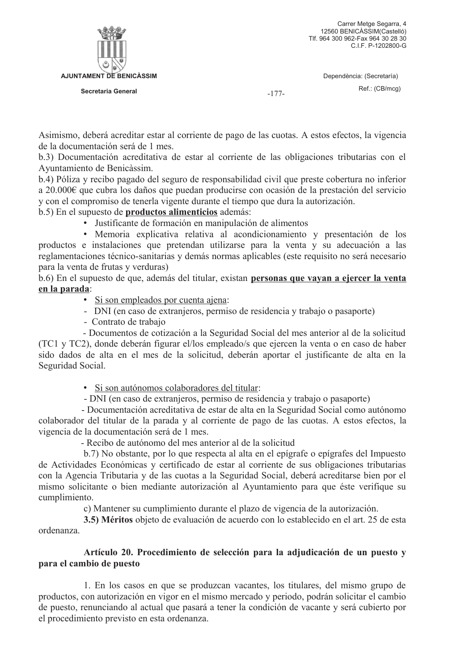

 $-177-$ 

Asimismo, deberá acreditar estar al corriente de pago de las cuotas. A estos efectos, la vigencia de la documentación será de 1 mes

b.3) Documentación acreditativa de estar al corriente de las obligaciones tributarias con el Ayuntamiento de Benicàssim.

b.4) Póliza y recibo pagado del seguro de responsabilidad civil que preste cobertura no inferior a  $20.000 \in \mathbb{C}$  que cubra los daños que puedan producirse con ocasión de la prestación del servicio y con el compromiso de tenerla vigente durante el tiempo que dura la autorización.

# b.5) En el supuesto de **productos alimenticios** además:

· Justificante de formación en manipulación de alimentos

· Memoria explicativa relativa al acondicionamiento y presentación de los productos e instalaciones que pretendan utilizarse para la venta y su adecuación a las reglamentaciones técnico-sanitarias y demás normas aplicables (este requisito no será necesario para la venta de frutas y verduras)

b.6) En el supuesto de que, además del titular, existan personas que vayan a ejercer la venta en la parada:

· Si son empleados por cuenta ajena:

- DNI (en caso de extranieros, permiso de residencia y trabajo o pasaporte)
- Contrato de trabajo

- Documentos de cotización a la Seguridad Social del mes anterior al de la solicitud (TC1 y TC2), donde deberán figurar el/los empleado/s que ejercen la venta o en caso de haber sido dados de alta en el mes de la solicitud, deberán aportar el justificante de alta en la Seguridad Social.

- · Si son autónomos colaboradores del titular:
- DNI (en caso de extranjeros, permiso de residencia y trabajo o pasaporte)

- Documentación acreditativa de estar de alta en la Seguridad Social como autónomo colaborador del titular de la parada y al corriente de pago de las cuotas. A estos efectos, la vigencia de la documentación será de 1 mes.

- Recibo de autónomo del mes anterior al de la solicitud

b.7) No obstante, por lo que respecta al alta en el epígrafe o epígrafes del Impuesto de Actividades Económicas y certificado de estar al corriente de sus obligaciones tributarias con la Agencia Tributaria y de las cuotas a la Seguridad Social, deberá acreditarse bien por el mismo solicitante o bien mediante autorización al Ayuntamiento para que éste verifique su cumplimiento.

c) Mantener su cumplimiento durante el plazo de vigencia de la autorización.

3.5) Méritos objeto de evaluación de acuerdo con lo establecido en el art. 25 de esta ordenanza

# Artículo 20. Procedimiento de selección para la adjudicación de un puesto y para el cambio de puesto

1. En los casos en que se produzcan vacantes, los titulares, del mismo grupo de productos, con autorización en vigor en el mismo mercado y periodo, podrán solicitar el cambio de puesto, renunciando al actual que pasará a tener la condición de vacante y será cubierto por el procedimiento previsto en esta ordenanza.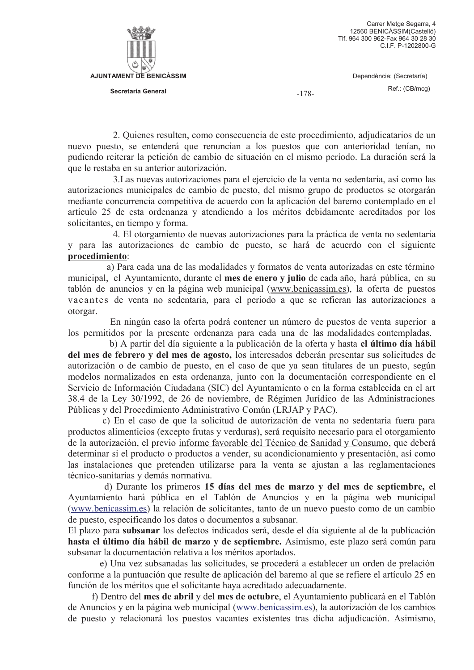

 $-178-$ 

2. Quienes resulten, como consecuencia de este procedimiento, adjudicatarios de un nuevo puesto, se entenderá que renuncian a los puestos que con anterioridad tenían, no pudiendo reiterar la petición de cambio de situación en el mismo período. La duración será la que le restaba en su anterior autorización.

3. Las nuevas autorizaciones para el ejercicio de la venta no sedentaria, así como las autorizaciones municipales de cambio de puesto, del mismo grupo de productos se otorgarán mediante concurrencia competitiva de acuerdo con la aplicación del baremo contemplado en el artículo 25 de esta ordenanza y atendiendo a los méritos debidamente acreditados por los solicitantes, en tiempo y forma.

4. El otorgamiento de nuevas autorizaciones para la práctica de venta no sedentaria y para las autorizaciones de cambio de puesto, se hará de acuerdo con el siguiente procedimiento:

a) Para cada una de las modalidades y formatos de venta autorizadas en este término municipal, el Ayuntamiento, durante el mes de enero y julio de cada año, hará pública, en su tablón de anuncios y en la página web municipal (www.benicassim.es), la oferta de puestos vacantes de venta no sedentaria, para el periodo a que se refieran las autorizaciones a otorgar.

En ningún caso la oferta podrá contener un número de puestos de venta superior a los permitidos por la presente ordenanza para cada una de las modalidades contempladas.

b) A partir del día siguiente a la publicación de la oferta y hasta el último día hábil del mes de febrero y del mes de agosto, los interesados deberán presentar sus solicitudes de autorización o de cambio de puesto, en el caso de que ya sean titulares de un puesto, según modelos normalizados en esta ordenanza, junto con la documentación correspondiente en el Servicio de Información Ciudadana (SIC) del Ayuntamiento o en la forma establecida en el art 38.4 de la Ley 30/1992, de 26 de noviembre, de Régimen Jurídico de las Administraciones Públicas y del Procedimiento Administrativo Común (LRJAP y PAC).

c) En el caso de que la solicitud de autorización de venta no sedentaria fuera para productos alimenticios (excepto frutas y verduras), será requisito necesario para el otorgamiento de la autorización, el previo informe favorable del Técnico de Sanidad y Consumo, que deberá determinar si el producto o productos a vender, su acondicionamiento y presentación, así como las instalaciones que pretenden utilizarse para la venta se ajustan a las reglamentaciones técnico-sanitarias y demás normativa.

d) Durante los primeros 15 días del mes de marzo y del mes de septiembre, el Ayuntamiento hará pública en el Tablón de Anuncios y en la página web municipal (www.benicassim.es) la relación de solicitantes, tanto de un nuevo puesto como de un cambio de puesto, especificando los datos o documentos a subsanar.

El plazo para subsanar los defectos indicados será, desde el día siguiente al de la publicación hasta el último día hábil de marzo y de septiembre. Asimismo, este plazo será común para subsanar la documentación relativa a los méritos aportados.

e) Una vez subsanadas las solicitudes, se procederá a establecer un orden de prelación conforme a la puntuación que resulte de aplicación del baremo al que se refiere el artículo 25 en función de los méritos que el solicitante haya acreditado adecuadamente.

f) Dentro del mes de abril y del mes de octubre, el Ayuntamiento publicará en el Tablón de Anuncios y en la página web municipal (www.benicassim.es), la autorización de los cambios de puesto y relacionará los puestos vacantes existentes tras dicha adjudicación. Asimismo,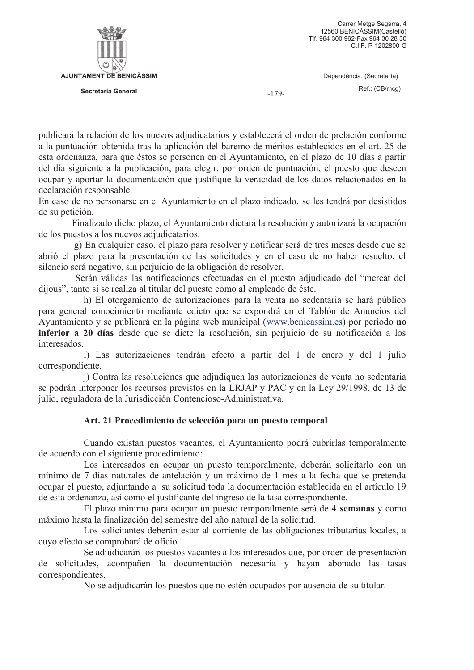

 $-179-$ 

publicará la relación de los nuevos adjudicatarios y establecerá el orden de prelación conforme

a la puntuación obtenida tras la aplicación del baremo de méritos establecidos en el art. 25 de esta ordenanza, para que éstos se personen en el Ayuntamiento, en el plazo de 10 días a partir del día siguiente a la publicación, para elegir, por orden de puntuación, el puesto que deseen ocupar y aportar la documentación que justifique la veracidad de los datos relacionados en la declaración responsable.

En caso de no personarse en el Ayuntamiento en el plazo indicado, se les tendrá por desistidos de su petición.

Finalizado dicho plazo, el Ayuntamiento dictará la resolución y autorizará la ocupación de los puestos a los nuevos adjudicatarios.

g) En cualquier caso, el plazo para resolver y notificar será de tres meses desde que se abrió el plazo para la presentación de las solicitudes y en el caso de no haber resuelto, el silencio será negativo, sin periuicio de la obligación de resolver.

Serán válidas las notificaciones efectuadas en el puesto adjudicado del "mercat del dijous", tanto si se realiza al titular del puesto como al empleado de éste.

h) El otorgamiento de autorizaciones para la venta no sedentaria se hará público para general conocimiento mediante edicto que se expondrá en el Tablón de Anuncios del Ayuntamiento y se publicará en la página web municipal (www.benicassim.es) por período no inferior a 20 días desde que se dicte la resolución, sin perjuicio de su notificación a los interesados.

i) Las autorizaciones tendrán efecto a partir del 1 de enero y del 1 julio correspondiente.

i) Contra las resoluciones que adjudiquen las autorizaciones de venta no sedentaria se podrán interponer los recursos previstos en la LRJAP y PAC y en la Ley 29/1998, de 13 de julio, reguladora de la Jurisdicción Contencioso-Administrativa.

# Art. 21 Procedimiento de selección para un puesto temporal

Cuando existan puestos vacantes, el Ayuntamiento podrá cubrirlas temporalmente de acuerdo con el siguiente procedimiento:

Los interesados en ocupar un puesto temporalmente, deberán solicitarlo con un mínimo de 7 días naturales de antelación y un máximo de 1 mes a la fecha que se pretenda ocupar el puesto, adjuntando a su solicitud toda la documentación establecida en el artículo 19 de esta ordenanza, así como el justificante del ingreso de la tasa correspondiente.

El plazo mínimo para ocupar un puesto temporalmente será de 4 semanas y como máximo hasta la finalización del semestre del año natural de la solicitud.

Los solicitantes deberán estar al corriente de las obligaciones tributarias locales, a cuvo efecto se comprobará de oficio.

Se adjudicarán los puestos vacantes a los interesados que, por orden de presentación de solicitudes, acompañen la documentación necesaria y hayan abonado las tasas correspondientes.

No se adjudicarán los puestos que no estén ocupados por ausencia de su titular.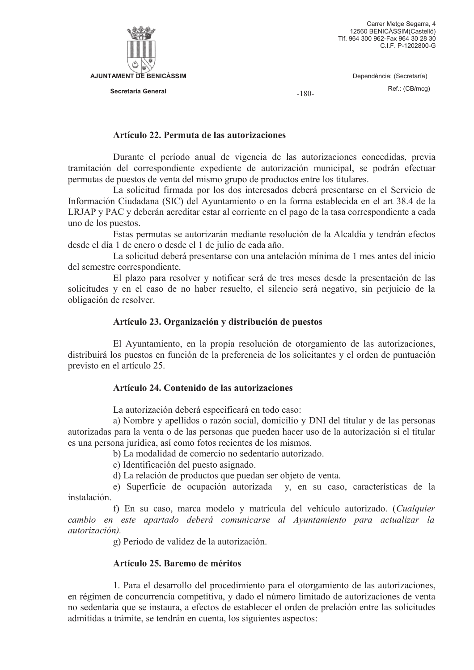

Secretaria General

Dependència: (Secretaría) Ref.: (CB/mcg)

 $-180-$ 

#### Artículo 22. Permuta de las autorizaciones

Durante el período anual de vigencia de las autorizaciones concedidas, previa tramitación del correspondiente expediente de autorización municipal, se podrán efectuar permutas de puestos de venta del mismo grupo de productos entre los titulares.

La solicitud firmada por los dos interesados deberá presentarse en el Servicio de Información Ciudadana (SIC) del Ayuntamiento o en la forma establecida en el art 38.4 de la LRJAP y PAC y deberán acreditar estar al corriente en el pago de la tasa correspondiente a cada uno de los puestos.

Estas permutas se autorizarán mediante resolución de la Alcaldía y tendrán efectos desde el día 1 de enero o desde el 1 de julio de cada año.

La solicitud deberá presentarse con una antelación mínima de 1 mes antes del inicio del semestre correspondiente.

El plazo para resolver y notificar será de tres meses desde la presentación de las solicitudes y en el caso de no haber resuelto, el silencio será negativo, sin perjuicio de la obligación de resolver.

#### Artículo 23. Organización y distribución de puestos

El Ayuntamiento, en la propia resolución de otorgamiento de las autorizaciones, distribuirá los puestos en función de la preferencia de los solicitantes y el orden de puntuación previsto en el artículo 25.

### Artículo 24. Contenido de las autorizaciones

La autorización deberá especificará en todo caso:

a) Nombre y apellidos o razón social, domicilio y DNI del titular y de las personas autorizadas para la venta o de las personas que pueden hacer uso de la autorización si el titular es una persona jurídica, así como fotos recientes de los mismos.

b) La modalidad de comercio no sedentario autorizado.

c) Identificación del puesto asignado.

d) La relación de productos que puedan ser objeto de venta.

e) Superficie de ocupación autorizada y, en su caso, características de la instalación.

f) En su caso, marca modelo y matrícula del vehículo autorizado. (Cualquier cambio en este apartado deberá comunicarse al Avuntamiento para actualizar la autorización).

g) Periodo de validez de la autorización.

### Artículo 25. Baremo de méritos

1. Para el desarrollo del procedimiento para el otorgamiento de las autorizaciones, en régimen de concurrencia competitiva, y dado el número limitado de autorizaciones de venta no sedentaria que se instaura, a efectos de establecer el orden de prelación entre las solicitudes admitidas a trámite, se tendrán en cuenta, los siguientes aspectos: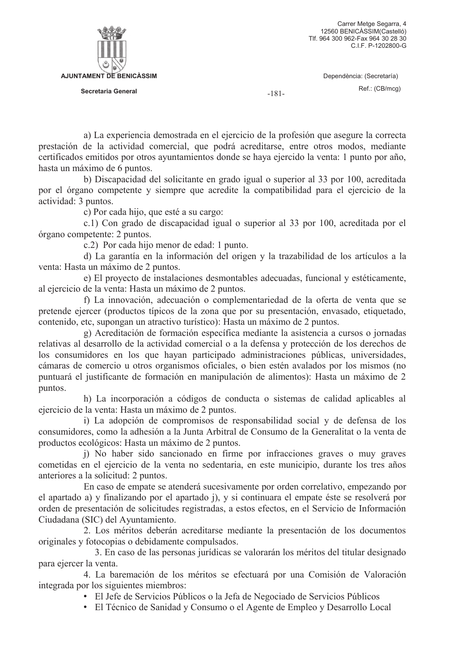a) La experiencia demostrada en el ejercicio de la profesión que asegure la correcta prestación de la actividad comercial, que podrá acreditarse, entre otros modos, mediante certificados emitidos por otros ayuntamientos donde se haya ejercido la venta: 1 punto por año, hasta un máximo de 6 puntos.

b) Discapacidad del solicitante en grado igual o superior al 33 por 100, acreditada por el órgano competente y siempre que acredite la compatibilidad para el ejercicio de la actividad: 3 puntos.

c) Por cada hijo, que esté a su cargo:

c.1) Con grado de discapacidad igual o superior al 33 por 100, acreditada por el órgano competente: 2 puntos.

c.2) Por cada hijo menor de edad: 1 punto.

d) La garantía en la información del origen y la trazabilidad de los artículos a la venta: Hasta un máximo de 2 puntos.

e) El proyecto de instalaciones desmontables adecuadas, funcional y estéticamente, al ejercicio de la venta: Hasta un máximo de 2 puntos.

f) La innovación, adecuación o complementariedad de la oferta de venta que se pretende ejercer (productos típicos de la zona que por su presentación, envasado, etiquetado, contenido, etc. supongan un atractivo turístico): Hasta un máximo de 2 puntos.

g) Acreditación de formación específica mediante la asistencia a cursos o jornadas relativas al desarrollo de la actividad comercial o a la defensa y protección de los derechos de los consumidores en los que hayan participado administraciones públicas, universidades, cámaras de comercio u otros organismos oficiales, o bien estén avalados por los mismos (no puntuará el justificante de formación en manipulación de alimentos): Hasta un máximo de 2 puntos.

h) La incorporación a códigos de conducta o sistemas de calidad aplicables al ejercicio de la venta: Hasta un máximo de 2 puntos.

i) La adopción de compromisos de responsabilidad social y de defensa de los consumidores, como la adhesión a la Junta Arbitral de Consumo de la Generalitat o la venta de productos ecológicos: Hasta un máximo de 2 puntos.

j) No haber sido sancionado en firme por infracciones graves o muy graves cometidas en el ejercicio de la venta no sedentaria, en este municipio, durante los tres años anteriores a la solicitud: 2 puntos.

En caso de empate se atenderá sucesivamente por orden correlativo, empezando por el apartado a) y finalizando por el apartado j), y si continuara el empate éste se resolverá por orden de presentación de solicitudes registradas, a estos efectos, en el Servicio de Información Ciudadana (SIC) del Ayuntamiento.

2. Los méritos deberán acreditarse mediante la presentación de los documentos originales y fotocopias o debidamente compulsados.

3. En caso de las personas jurídicas se valorarán los méritos del titular designado para ejercer la venta.

4. La baremación de los méritos se efectuará por una Comisión de Valoración integrada por los siguientes miembros:

· El Jefe de Servicios Públicos o la Jefa de Negociado de Servicios Públicos

· El Técnico de Sanidad y Consumo o el Agente de Empleo y Desarrollo Local

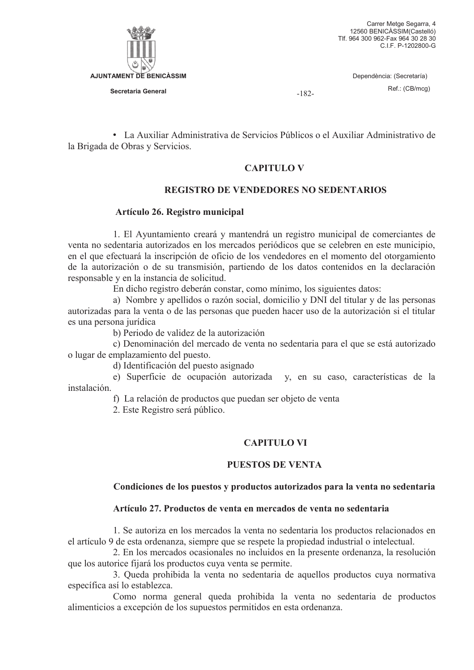

 $-182-$ 

• La Auxiliar Administrativa de Servicios Públicos o el Auxiliar Administrativo de la Brigada de Obras y Servicios.

## **CAPITULO V**

# **REGISTRO DE VENDEDORES NO SEDENTARIOS**

### Artículo 26. Registro municipal

1. El Ayuntamiento creará y mantendrá un registro municipal de comerciantes de venta no sedentaria autorizados en los mercados periódicos que se celebren en este municipio, en el que efectuará la inscripción de oficio de los vendedores en el momento del otorgamiento de la autorización o de su transmisión, partiendo de los datos contenidos en la declaración responsable y en la instancia de solicitud.

En dicho registro deberán constar, como mínimo, los siguientes datos:

a) Nombre y apellidos o razón social, domicilio y DNI del titular y de las personas autorizadas para la venta o de las personas que pueden hacer uso de la autorización si el titular es una persona jurídica

b) Periodo de validez de la autorización

c) Denominación del mercado de venta no sedentaria para el que se está autorizado o lugar de emplazamiento del puesto.

d) Identificación del puesto asignado

e) Superficie de ocupación autorizada y, en su caso, características de la instalación.

f) La relación de productos que puedan ser objeto de venta

2. Este Registro será público.

# **CAPITILO VI**

### **PUESTOS DE VENTA**

### Condiciones de los puestos y productos autorizados para la venta no sedentaria

### Artículo 27. Productos de venta en mercados de venta no sedentaria

1. Se autoriza en los mercados la venta no sedentaria los productos relacionados en el artículo 9 de esta ordenanza, siempre que se respete la propiedad industrial o intelectual.

2. En los mercados ocasionales no incluidos en la presente ordenanza, la resolución que los autorice fijará los productos cuya venta se permite.

3. Queda prohibida la venta no sedentaria de aquellos productos cuya normativa específica así lo establezca.

Como norma general queda prohibida la venta no sedentaria de productos alimenticios a excepción de los supuestos permitidos en esta ordenanza.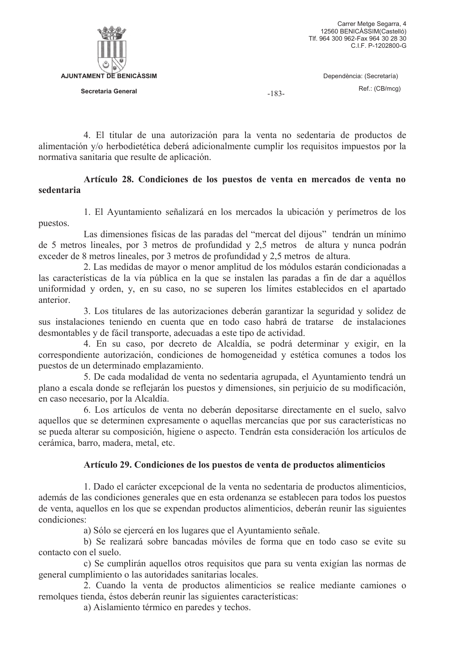

 $-183-$ 

4. El titular de una autorización para la venta no sedentaria de productos de alimentación y/o herbodietética deberá adicionalmente cumplir los requisitos impuestos por la normativa sanitaria que resulte de aplicación.

## Artículo 28. Condiciones de los puestos de venta en mercados de venta no sedentaria

1. El Ayuntamiento señalizará en los mercados la ubicación y perímetros de los puestos.

Las dimensiones físicas de las paradas del "mercat del dijous" tendrán un mínimo de 5 metros lineales, por 3 metros de profundidad y 2,5 metros de altura y nunca podrán exceder de 8 metros lineales, por 3 metros de profundidad y 2,5 metros de altura.

2. Las medidas de mayor o menor amplitud de los módulos estarán condicionadas a las características de la vía pública en la que se instalen las paradas a fin de dar a aquéllos uniformidad y orden, y, en su caso, no se superen los límites establecidos en el apartado anterior

3. Los titulares de las autorizaciones deberán garantizar la seguridad y solidez de sus instalaciones teniendo en cuenta que en todo caso habrá de tratarse de instalaciones desmontables y de fácil transporte, adecuadas a este tipo de actividad.

4. En su caso, por decreto de Alcaldía, se podrá determinar y exigir, en la correspondiente autorización, condiciones de homogeneidad y estética comunes a todos los puestos de un determinado emplazamiento.

5. De cada modalidad de venta no sedentaria agrupada, el Ayuntamiento tendrá un plano a escala donde se reflejarán los puestos y dimensiones, sin periujcio de su modificación, en caso necesario, por la Alcaldía.

6. Los artículos de venta no deberán depositarse directamente en el suelo, salvo aquellos que se determinen expresamente o aquellas mercancías que por sus características no se pueda alterar su composición, higiene o aspecto. Tendrán esta consideración los artículos de cerámica, barro, madera, metal, etc.

# Artículo 29. Condiciones de los puestos de venta de productos alimenticios

1. Dado el carácter excepcional de la venta no sedentaria de productos alimenticios, además de las condiciones generales que en esta ordenanza se establecen para todos los puestos de venta, aquellos en los que se expendan productos alimenticios, deberán reunir las siguientes condiciones:

a) Sólo se ejercerá en los lugares que el Ayuntamiento señale.

b) Se realizará sobre bancadas móviles de forma que en todo caso se evite su contacto con el suelo.

c) Se cumplirán aquellos otros requisitos que para su venta exigían las normas de general cumplimiento o las autoridades sanitarias locales.

2. Cuando la venta de productos alimenticios se realice mediante camiones o remolques tienda, éstos deberán reunir las siguientes características:

a) Aislamiento térmico en paredes y techos.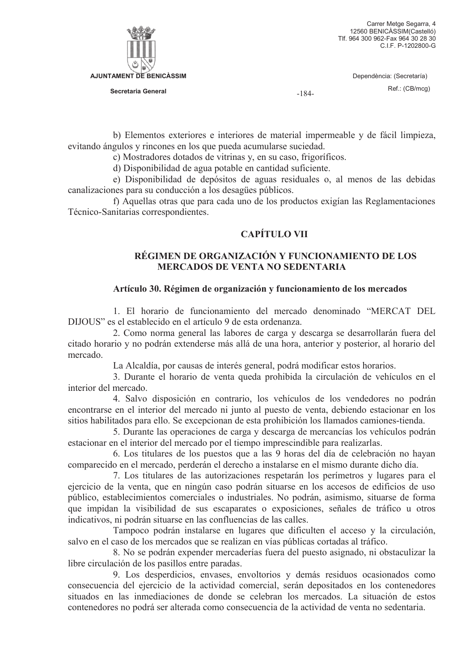

Secretaria General

Dependència: (Secretaría) Ref.: (CB/mcg)

 $-184-$ 

b) Elementos exteriores e interiores de material impermeable y de fácil limpieza, evitando ángulos y rincones en los que pueda acumularse suciedad.

c) Mostradores dotados de vitrinas y, en su caso, frigoríficos.

d) Disponibilidad de agua potable en cantidad suficiente.

e) Disponibilidad de depósitos de aguas residuales o, al menos de las debidas canalizaciones para su conducción a los desagües públicos.

f) Aquellas otras que para cada uno de los productos exigían las Reglamentaciones Técnico-Sanitarias correspondientes.

## **CAPÍTULO VII**

## RÉGIMEN DE ORGANIZACIÓN Y FUNCIONAMIENTO DE LOS **MERCADOS DE VENTA NO SEDENTARIA**

### Artículo 30. Régimen de organización y funcionamiento de los mercados

1. El horario de funcionamiento del mercado denominado "MERCAT DEL DIJOUS" es el establecido en el artículo 9 de esta ordenanza

2. Como norma general las labores de carga y descarga se desarrollarán fuera del citado horario y no podrán extenderse más allá de una hora, anterior y posterior, al horario del mercado

La Alcaldía, por causas de interés general, podrá modificar estos horarios.

3. Durante el horario de venta queda prohibida la circulación de vehículos en el interior del mercado.

4. Salvo disposición en contrario, los vehículos de los vendedores no podrán encontrarse en el interior del mercado ni junto al puesto de venta, debiendo estacionar en los sitios habilitados para ello. Se excepcionan de esta prohibición los llamados camiones-tienda.

5. Durante las operaciones de carga y descarga de mercancías los vehículos podrán estacionar en el interior del mercado por el tiempo imprescindible para realizarlas.

6. Los titulares de los puestos que a las 9 horas del día de celebración no hayan comparecido en el mercado, perderán el derecho a instalarse en el mismo durante dicho día.

7. Los titulares de las autorizaciones respetarán los perímetros y lugares para el ejercicio de la venta, que en ningún caso podrán situarse en los accesos de edificios de uso público, establecimientos comerciales o industriales. No podrán, asimismo, situarse de forma que impidan la visibilidad de sus escaparates o exposiciones, señales de tráfico u otros indicativos, ni podrán situarse en las confluencias de las calles.

Tampoco podrán instalarse en lugares que dificulten el acceso y la circulación, salvo en el caso de los mercados que se realizan en vías públicas cortadas al tráfico.

8. No se podrán expender mercaderías fuera del puesto asignado, ni obstaculizar la libre circulación de los pasillos entre paradas.

9. Los desperdicios, envases, envoltorios y demás residuos ocasionados como consecuencia del ejercicio de la actividad comercial, serán depositados en los contenedores situados en las inmediaciones de donde se celebran los mercados. La situación de estos contenedores no podrá ser alterada como consecuencia de la actividad de venta no sedentaria.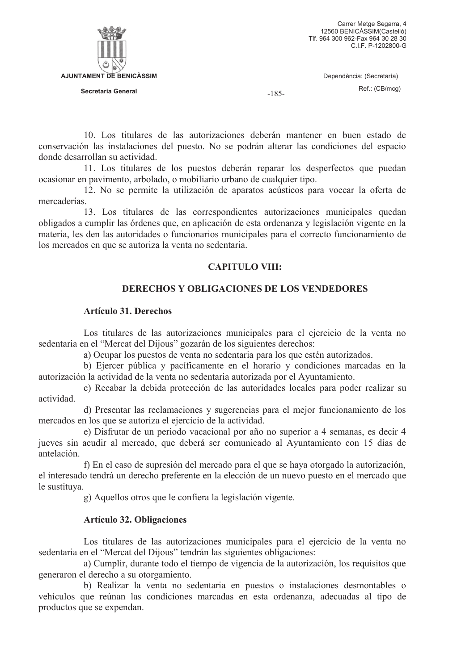

 $-185-$ 

10. Los titulares de las autorizaciones deberán mantener en buen estado de conservación las instalaciones del puesto. No se podrán alterar las condiciones del espacio donde desarrollan su actividad.

11. Los titulares de los puestos deberán reparar los desperfectos que puedan ocasionar en pavimento, arbolado, o mobiliario urbano de cualquier tipo.

12. No se permite la utilización de aparatos acústicos para vocear la oferta de mercaderías.

13. Los titulares de las correspondientes autorizaciones municipales quedan obligados a cumplir las órdenes que, en aplicación de esta ordenanza y legislación vigente en la materia, les den las autoridades o funcionarios municipales para el correcto funcionamiento de los mercados en que se autoriza la venta no sedentaria.

# **CAPITULO VIII:**

# **DERECHOS Y OBLIGACIONES DE LOS VENDEDORES**

## **Artículo 31. Derechos**

Los titulares de las autorizaciones municipales para el ejercicio de la venta no sedentaria en el "Mercat del Dijous" gozarán de los siguientes derechos:

a) Ocupar los puestos de venta no sedentaria para los que estén autorizados.

b) Ejercer pública y pacíficamente en el horario y condiciones marcadas en la autorización la actividad de la venta no sedentaria autorizada por el Ayuntamiento.

c) Recabar la debida protección de las autoridades locales para poder realizar su actividad.

d) Presentar las reclamaciones y sugerencias para el mejor funcionamiento de los mercados en los que se autoriza el ejercicio de la actividad.

e) Disfrutar de un periodo vacacional por año no superior a 4 semanas, es decir 4 jueves sin acudir al mercado, que deberá ser comunicado al Ayuntamiento con 15 días de antelación.

f) En el caso de supresión del mercado para el que se haya otorgado la autorización, el interesado tendrá un derecho preferente en la elección de un nuevo puesto en el mercado que le sustituva.

g) Aquellos otros que le confiera la legislación vigente.

# **Artículo 32. Obligaciones**

Los titulares de las autorizaciones municipales para el ejercicio de la venta no sedentaria en el "Mercat del Dijous" tendrán las siguientes obligaciones:

a) Cumplir, durante todo el tiempo de vigencia de la autorización, los requisitos que generaron el derecho a su otorgamiento.

b) Realizar la venta no sedentaria en puestos o instalaciones desmontables o vehículos que reúnan las condiciones marcadas en esta ordenanza, adecuadas al tipo de productos que se expendan.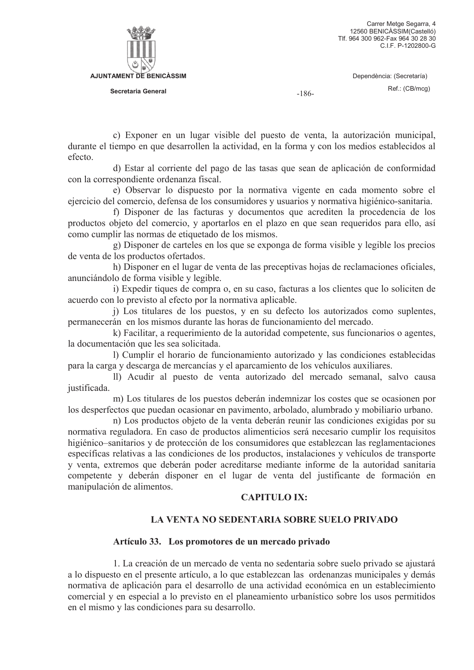



Secretaria General

 $-186-$ 

c) Exponer en un lugar visible del puesto de venta, la autorización municipal,

durante el tiempo en que desarrollen la actividad, en la forma y con los medios establecidos al efecto

d) Estar al corriente del pago de las tasas que sean de aplicación de conformidad con la correspondiente ordenanza fiscal.

e) Observar lo dispuesto por la normativa vigente en cada momento sobre el ejercicio del comercio, defensa de los consumidores y usuarios y normativa higiénico-sanitaria.

f) Disponer de las facturas y documentos que acrediten la procedencia de los productos objeto del comercio, y aportarlos en el plazo en que sean requeridos para ello, así como cumplir las normas de etiquetado de los mismos.

g) Disponer de carteles en los que se exponga de forma visible y legible los precios de venta de los productos ofertados.

h) Disponer en el lugar de venta de las preceptivas hojas de reclamaciones oficiales, anunciándolo de forma visible y legible.

i) Expedir tiques de compra o, en su caso, facturas a los clientes que lo soliciten de acuerdo con lo previsto al efecto por la normativa aplicable.

j) Los titulares de los puestos, y en su defecto los autorizados como suplentes, permanecerán en los mismos durante las horas de funcionamiento del mercado.

k) Facilitar, a requerimiento de la autoridad competente, sus funcionarios o agentes, la documentación que les sea solicitada.

1) Cumplir el horario de funcionamiento autorizado y las condiciones establecidas para la carga y descarga de mercancías y el aparcamiento de los vehículos auxiliares.

II) Acudir al puesto de venta autorizado del mercado semanal, salvo causa justificada.

m) Los titulares de los puestos deberán indemnizar los costes que se ocasionen por los desperfectos que puedan ocasionar en pavimento, arbolado, alumbrado y mobiliario urbano.

n) Los productos objeto de la venta deberán reunir las condiciones exigidas por su normativa reguladora. En caso de productos alimenticios será necesario cumplir los requisitos higiénico–sanitarios y de protección de los consumidores que establezcan las reglamentaciones específicas relativas a las condiciones de los productos, instalaciones y vehículos de transporte y venta, extremos que deberán poder acreditarse mediante informe de la autoridad sanitaria competente y deberán disponer en el lugar de venta del justificante de formación en manipulación de alimentos.

### **CAPITULO IX:**

# LA VENTA NO SEDENTARIA SOBRE SUELO PRIVADO

### Artículo 33. Los promotores de un mercado privado

1. La creación de un mercado de venta no sedentaria sobre suelo privado se ajustará a lo dispuesto en el presente artículo, a lo que establezcan las ordenanzas municipales y demás normativa de aplicación para el desarrollo de una actividad económica en un establecimiento comercial y en especial a lo previsto en el planeamiento urbanístico sobre los usos permitidos en el mismo y las condiciones para su desarrollo.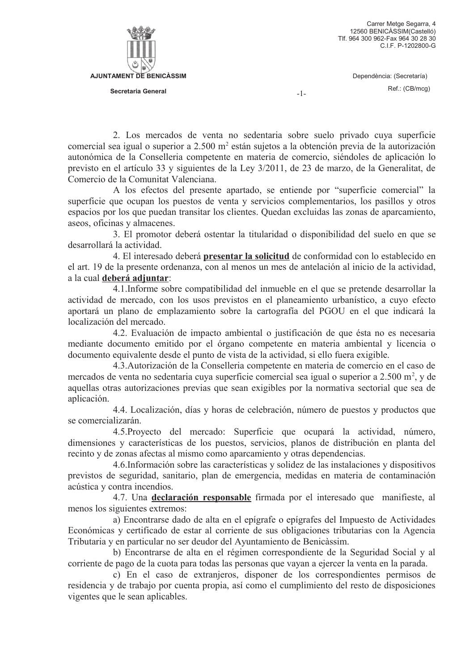

 $-1-$ 

2. Los mercados de venta no sedentaria sobre suelo privado cuva superficie comercial sea igual o superior a 2.500 m<sup>2</sup> están sujetos a la obtención previa de la autorización autonómica de la Conselleria competente en materia de comercio, siéndoles de aplicación lo previsto en el artículo 33 y siguientes de la Ley 3/2011, de 23 de marzo, de la Generalitat, de Comercio de la Comunitat Valenciana.

A los efectos del presente apartado, se entiende por "superficie comercial" la superficie que ocupan los puestos de venta y servicios complementarios, los pasillos y otros espacios por los que puedan transitar los clientes. Quedan excluidas las zonas de aparcamiento, aseos, oficinas y almacenes.

3. El promotor deberá ostentar la titularidad o disponibilidad del suelo en que se desarrollará la actividad.

4. El interesado deberá presentar la solicitud de conformidad con lo establecido en el art. 19 de la presente ordenanza, con al menos un mes de antelación al inicio de la actividad, a la cual deberá adjuntar:

4.1. Informe sobre compatibilidad del inmueble en el que se pretende desarrollar la actividad de mercado, con los usos previstos en el planeamiento urbanístico, a cuyo efecto aportará un plano de emplazamiento sobre la cartografía del PGOU en el que indicará la localización del mercado.

4.2. Evaluación de impacto ambiental o justificación de que ésta no es necesaria mediante documento emitido por el órgano competente en materia ambiental y licencia o documento equivalente desde el punto de vista de la actividad, si ello fuera exigible.

4.3. Autorización de la Conselleria competente en materia de comercio en el caso de mercados de venta no sedentaria cuva superficie comercial sea igual o superior a 2.500 m<sup>2</sup>, y de aquellas otras autorizaciones previas que sean exigibles por la normativa sectorial que sea de aplicación.

4.4. Localización, días y horas de celebración, número de puestos y productos que se comercializarán.

4.5. Proyecto del mercado: Superficie que ocupará la actividad, número, dimensiones y características de los puestos, servicios, planos de distribución en planta del recinto y de zonas afectas al mismo como aparcamiento y otras dependencias.

4.6. Información sobre las características y solidez de las instalaciones y dispositivos previstos de seguridad, sanitario, plan de emergencia, medidas en materia de contaminación acústica y contra incendios.

4.7. Una declaración responsable firmada por el interesado que manifieste, al menos los siguientes extremos:

a) Encontrarse dado de alta en el epígrafe o epígrafes del Impuesto de Actividades Económicas y certificado de estar al corriente de sus obligaciones tributarias con la Agencia Tributaria y en particular no ser deudor del Ayuntamiento de Benicàssim.

b) Encontrarse de alta en el régimen correspondiente de la Seguridad Social y al corriente de pago de la cuota para todas las personas que vayan a ejercer la venta en la parada.

c) En el caso de extranjeros, disponer de los correspondientes permisos de residencia y de trabajo por cuenta propia, así como el cumplimiento del resto de disposiciones vigentes que le sean aplicables.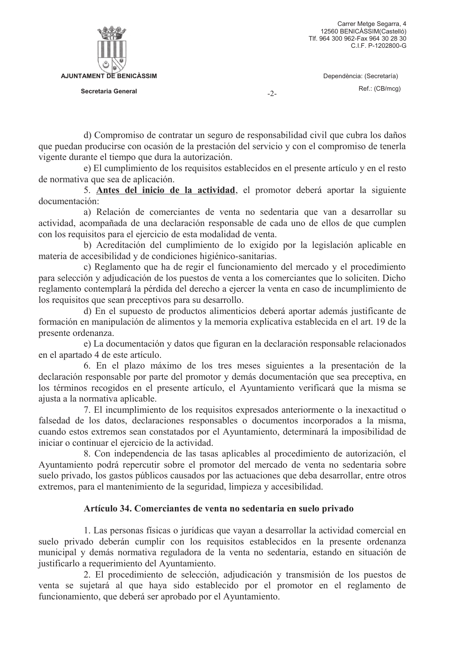

 $-2-$ 

d) Compromiso de contratar un seguro de responsabilidad civil que cubra los daños que puedan producirse con ocasión de la prestación del servicio y con el compromiso de tenerla vigente durante el tiempo que dura la autorización.

e) El cumplimiento de los requisitos establecidos en el presente artículo y en el resto de normativa que sea de aplicación.

5. Antes del inicio de la actividad, el promotor deberá aportar la siguiente documentación:

a) Relación de comerciantes de venta no sedentaria que van a desarrollar su actividad, acompañada de una declaración responsable de cada uno de ellos de que cumplen con los requisitos para el ejercicio de esta modalidad de venta.

b) Acreditación del cumplimiento de lo exigido por la legislación aplicable en materia de accesibilidad y de condiciones higiénico-sanitarias.

c) Reglamento que ha de regir el funcionamiento del mercado y el procedimiento para selección y adjudicación de los puestos de venta a los comerciantes que lo soliciten. Dicho reglamento contemplará la pérdida del derecho a ejercer la venta en caso de incumplimiento de los requisitos que sean preceptivos para su desarrollo.

d) En el supuesto de productos alimenticios deberá aportar además justificante de formación en manipulación de alimentos y la memoria explicativa establecida en el art. 19 de la presente ordenanza.

e) La documentación y datos que figuran en la declaración responsable relacionados en el apartado 4 de este artículo.

6. En el plazo máximo de los tres meses siguientes a la presentación de la declaración responsable por parte del promotor y demás documentación que sea preceptiva, en los términos recogidos en el presente artículo, el Ayuntamiento verificará que la misma se ajusta a la normativa aplicable.

7. El incumplimiento de los requisitos expresados anteriormente o la inexactitud o falsedad de los datos, declaraciones responsables o documentos incorporados a la misma, cuando estos extremos sean constatados por el Ayuntamiento, determinará la imposibilidad de iniciar o continuar el ejercicio de la actividad.

8. Con independencia de las tasas aplicables al procedimiento de autorización, el Ayuntamiento podrá repercutir sobre el promotor del mercado de venta no sedentaria sobre suelo privado, los gastos públicos causados por las actuaciones que deba desarrollar, entre otros extremos, para el mantenimiento de la seguridad, limpieza y accesibilidad.

# Artículo 34. Comerciantes de venta no sedentaria en suelo privado

1. Las personas físicas o jurídicas que vayan a desarrollar la actividad comercial en suelo privado deberán cumplir con los requisitos establecidos en la presente ordenanza municipal y demás normativa reguladora de la venta no sedentaria, estando en situación de justificarlo a requerimiento del Ayuntamiento.

2. El procedimiento de selección, adjudicación y transmisión de los puestos de venta se sujetará al que haya sido establecido por el promotor en el reglamento de funcionamiento, que deberá ser aprobado por el Ayuntamiento.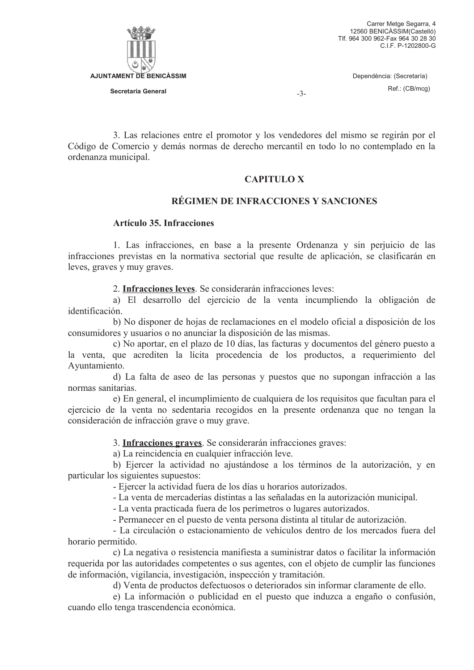

 $-3-$ 

3. Las relaciones entre el promotor y los vendedores del mismo se regirán por el Código de Comercio y demás normas de derecho mercantil en todo lo no contemplado en la ordenanza municipal.

### **CAPITULO X**

### RÉGIMEN DE INFRACCIONES Y SANCIONES

# **Artículo 35. Infracciones**

1. Las infracciones, en base a la presente Ordenanza y sin perjuicio de las infracciones previstas en la normativa sectorial que resulte de aplicación, se clasificarán en leves, graves y muy graves.

2. Infracciones leves. Se considerarán infracciones leves:

a) El desarrollo del ejercicio de la venta incumpliendo la obligación de identificación

b) No disponer de hojas de reclamaciones en el modelo oficial a disposición de los consumidores y usuarios o no anunciar la disposición de las mismas.

c) No aportar, en el plazo de 10 días, las facturas y documentos del género puesto a la venta, que acrediten la lícita procedencia de los productos, a requerimiento del Avuntamiento.

d) La falta de aseo de las personas y puestos que no supongan infracción a las normas sanitarias.

e) En general, el incumplimiento de cualquiera de los requisitos que facultan para el ejercicio de la venta no sedentaria recogidos en la presente ordenanza que no tengan la consideración de infracción grave o muy grave.

3. Infracciones graves. Se considerarán infracciones graves:

a) La reincidencia en cualquier infracción leve.

b) Ejercer la actividad no ajustándose a los términos de la autorización, y en particular los siguientes supuestos:

- Ejercer la actividad fuera de los días u horarios autorizados.

- La venta de mercaderías distintas a las señaladas en la autorización municipal.

- La venta practicada fuera de los perímetros o lugares autorizados.

- Permanecer en el puesto de venta persona distinta al titular de autorización.

- La circulación o estacionamiento de vehículos dentro de los mercados fuera del horario permitido.

c) La negativa o resistencia manifiesta a suministrar datos o facilitar la información requerida por las autoridades competentes o sus agentes, con el objeto de cumplir las funciones de información, vigilancia, investigación, inspección y tramitación.

d) Venta de productos defectuosos o deteriorados sin informar claramente de ello.

e) La información o publicidad en el puesto que induzca a engaño o confusión, cuando ello tenga trascendencia económica.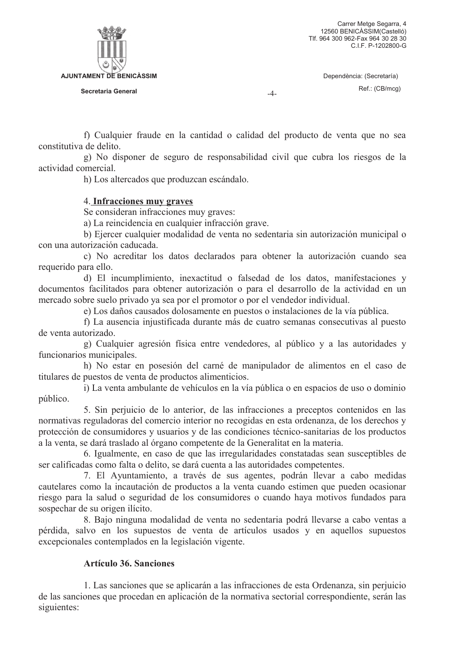**AJUNTAMENT DE BENICÀSSIM** Secretaria General

 $-4-$ 

f) Cualquier fraude en la cantidad o calidad del producto de venta que no sea constitutiva de delito

g) No disponer de seguro de responsabilidad civil que cubra los riesgos de la actividad comercial.

h) Los altercados que produzcan escándalo.

# 4. Infracciones muy graves

Se consideran infracciones muy graves:

a) La reincidencia en cualquier infracción grave.

b) Ejercer cualquier modalidad de venta no sedentaria sin autorización municipal o con una autorización caducada.

c) No acreditar los datos declarados para obtener la autorización cuando sea requerido para ello.

d) El incumplimiento, inexactitud o falsedad de los datos, manifestaciones y documentos facilitados para obtener autorización o para el desarrollo de la actividad en un mercado sobre suelo privado ya sea por el promotor o por el vendedor individual.

e) Los daños causados dolosamente en puestos o instalaciones de la vía pública.

f) La ausencia injustificada durante más de cuatro semanas consecutivas al puesto de venta autorizado.

g) Cualquier agresión física entre vendedores, al público y a las autoridades y funcionarios municipales.

h) No estar en posesión del carné de manipulador de alimentos en el caso de titulares de puestos de venta de productos alimenticios.

i) La venta ambulante de vehículos en la vía pública o en espacios de uso o dominio público.

5. Sin perjuicio de lo anterior, de las infracciones a preceptos contenidos en las normativas reguladoras del comercio interior no recogidas en esta ordenanza, de los derechos y protección de consumidores y usuarios y de las condiciones técnico-sanitarias de los productos a la venta, se dará traslado al órgano competente de la Generalitat en la materia.

6. Igualmente, en caso de que las irregularidades constatadas sean susceptibles de ser calificadas como falta o delito, se dará cuenta a las autoridades competentes.

7. El Ayuntamiento, a través de sus agentes, podrán llevar a cabo medidas cautelares como la incautación de productos a la venta cuando estimen que pueden ocasionar riesgo para la salud o seguridad de los consumidores o cuando haya motivos fundados para sospechar de su origen ilícito.

8. Bajo ninguna modalidad de venta no sedentaria podrá llevarse a cabo ventas a pérdida, salvo en los supuestos de venta de artículos usados y en aquellos supuestos excepcionales contemplados en la legislación vigente.

# **Artículo 36. Sanciones**

1. Las sanciones que se aplicarán a las infracciones de esta Ordenanza, sin perjuicio de las sanciones que procedan en aplicación de la normativa sectorial correspondiente, serán las siguientes: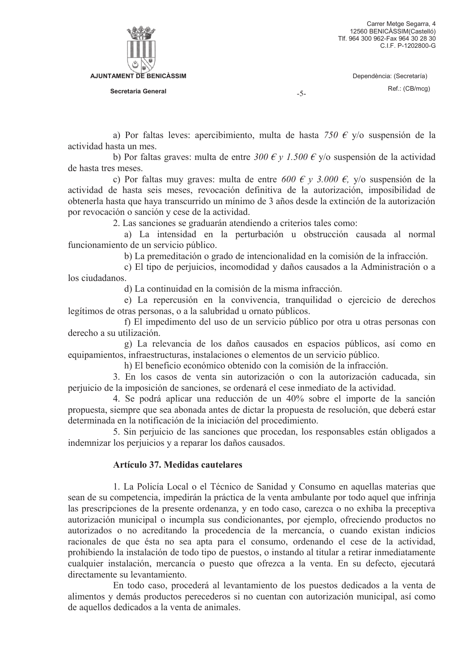

 $-5-$ 

a) Por faltas leves: apercibimiento, multa de hasta 750 € y/o suspensión de la actividad hasta un mes

b) Por faltas graves: multa de entre 300  $\epsilon$  y 1.500  $\epsilon$  y/o suspensión de la actividad de hasta tres meses.

c) Por faltas muy graves: multa de entre 600 € y 3.000 €, y/o suspensión de la actividad de hasta seis meses, revocación definitiva de la autorización, imposibilidad de obtenerla hasta que haya transcurrido un mínimo de 3 años desde la extinción de la autorización por revocación o sanción y cese de la actividad.

2. Las sanciones se graduarán atendiendo a criterios tales como:

a) La intensidad en la perturbación u obstrucción causada al normal funcionamiento de un servicio público.

b) La premeditación o grado de intencionalidad en la comisión de la infracción.

c) El tipo de periuicios, incomodidad y daños causados a la Administración o a los ciudadanos.

d) La continuidad en la comisión de la misma infracción.

e) La repercusión en la convivencia, tranquilidad o ejercicio de derechos legítimos de otras personas, o a la salubridad u ornato públicos.

f) El impedimento del uso de un servicio público por otra u otras personas con derecho a su utilización.

g) La relevancia de los daños causados en espacios públicos, así como en equipamientos, infraestructuras, instalaciones o elementos de un servicio público.

h) El beneficio económico obtenido con la comisión de la infracción.

3. En los casos de venta sin autorización o con la autorización caducada, sin perjuicio de la imposición de sanciones, se ordenará el cese inmediato de la actividad.

4. Se podrá aplicar una reducción de un 40% sobre el importe de la sanción propuesta, siempre que sea abonada antes de dictar la propuesta de resolución, que deberá estar determinada en la notificación de la iniciación del procedimiento.

5. Sin perjuicio de las sanciones que procedan, los responsables están obligados a indemnizar los perjuicios y a reparar los daños causados.

### **Artículo 37. Medidas cautelares**

1. La Policía Local o el Técnico de Sanidad y Consumo en aquellas materias que sean de su competencia, impedirán la práctica de la venta ambulante por todo aquel que infrinja las prescripciones de la presente ordenanza, y en todo caso, carezca o no exhiba la preceptiva autorización municipal o incumpla sus condicionantes, por ejemplo, ofreciendo productos no autorizados o no acreditando la procedencia de la mercancía, o cuando existan indicios racionales de que ésta no sea apta para el consumo, ordenando el cese de la actividad, prohibiendo la instalación de todo tipo de puestos, o instando al titular a retirar inmediatamente cualquier instalación, mercancía o puesto que ofrezca a la venta. En su defecto, ejecutará directamente su levantamiento.

En todo caso, procederá al levantamiento de los puestos dedicados a la venta de alimentos y demás productos perecederos si no cuentan con autorización municipal, así como de aquellos dedicados a la venta de animales.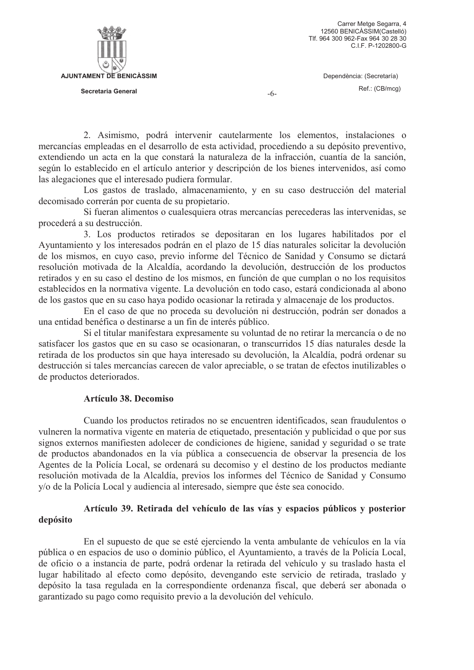

 $-6-$ 

2. Asimismo, podrá intervenir cautelarmente los elementos, instalaciones o mercancías empleadas en el desarrollo de esta actividad, procediendo a su depósito preventivo, extendiendo un acta en la que constará la naturaleza de la infracción, cuantía de la sanción, según lo establecido en el artículo anterior y descripción de los bienes intervenidos, así como las alegaciones que el interesado pudiera formular.

Los gastos de traslado, almacenamiento, y en su caso destrucción del material decomisado correrán por cuenta de su propietario.

Si fueran alimentos o cualesquiera otras mercancías perecederas las intervenidas, se procederá a su destrucción.

3. Los productos retirados se depositaran en los lugares habilitados por el Ayuntamiento y los interesados podrán en el plazo de 15 días naturales solicitar la devolución de los mismos, en cuyo caso, previo informe del Técnico de Sanidad y Consumo se dictará resolución motivada de la Alcaldía, acordando la devolución, destrucción de los productos retirados y en su caso el destino de los mismos, en función de que cumplan o no los requisitos establecidos en la normativa vigente. La devolución en todo caso, estará condicionada al abono de los gastos que en su caso haya podido ocasionar la retirada y almacenaje de los productos.

En el caso de que no proceda su devolución ni destrucción, podrán ser donados a una entidad benéfica o destinarse a un fin de interés público.

Si el titular manifestara expresamente su voluntad de no retirar la mercancía o de no satisfacer los gastos que en su caso se ocasionaran, o transcurridos 15 días naturales desde la retirada de los productos sin que haya interesado su devolución, la Alcaldía, podrá ordenar su destrucción si tales mercancías carecen de valor apreciable, o se tratan de efectos inutilizables o de productos deteriorados.

### Artículo 38. Decomiso

Cuando los productos retirados no se encuentren identificados, sean fraudulentos o vulneren la normativa vigente en materia de etiquetado, presentación y publicidad o que por sus signos externos manifiesten adolecer de condiciones de higiene, sanidad y seguridad o se trate de productos abandonados en la vía pública a consecuencia de observar la presencia de los Agentes de la Policía Local, se ordenará su decomiso y el destino de los productos mediante resolución motivada de la Alcaldía, previos los informes del Técnico de Sanidad y Consumo y/o de la Policía Local y audiencia al interesado, siempre que éste sea conocido.

## Artículo 39. Retirada del vehículo de las vías y espacios públicos y posterior depósito

En el supuesto de que se esté ejerciendo la venta ambulante de vehículos en la vía pública o en espacios de uso o dominio público, el Ayuntamiento, a través de la Policía Local, de oficio o a instancia de parte, podrá ordenar la retirada del vehículo y su traslado hasta el lugar habilitado al efecto como depósito, devengando este servicio de retirada, traslado y depósito la tasa regulada en la correspondiente ordenanza fiscal, que deberá ser abonada o garantizado su pago como requisito previo a la devolución del vehículo.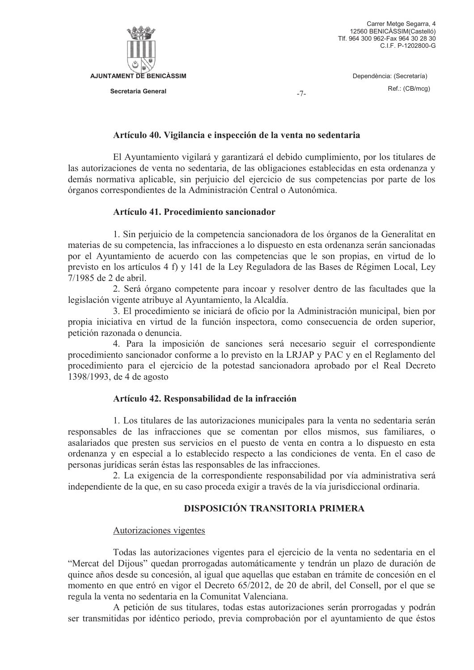

 $-7-$ 

### Artículo 40. Vigilancia e inspección de la venta no sedentaria

El Ayuntamiento vigilará y garantizará el debido cumplimiento, por los titulares de las autorizaciones de venta no sedentaria, de las obligaciones establecidas en esta ordenanza y demás normativa aplicable, sin periuicio del ejercicio de sus competencias por parte de los órganos correspondientes de la Administración Central o Autonómica.

### Artículo 41. Procedimiento sancionador

1. Sin perjuicio de la competencia sancionadora de los órganos de la Generalitat en materias de su competencia, las infracciones a lo dispuesto en esta ordenanza serán sancionadas por el Ayuntamiento de acuerdo con las competencias que le son propias, en virtud de lo previsto en los artículos 4 f) y 141 de la Ley Reguladora de las Bases de Régimen Local, Ley 7/1985 de 2 de abril.

2. Será órgano competente para incoar y resolver dentro de las facultades que la legislación vigente atribuye al Ayuntamiento, la Alcaldía.

3. El procedimiento se iniciará de oficio por la Administración municipal, bien por propia iniciativa en virtud de la función inspectora, como consecuencia de orden superior, petición razonada o denuncia.

4. Para la imposición de sanciones será necesario seguir el correspondiente procedimiento sancionador conforme a lo previsto en la LRJAP y PAC y en el Reglamento del procedimiento para el ejercicio de la potestad sancionadora aprobado por el Real Decreto 1398/1993, de 4 de agosto

### Artículo 42. Responsabilidad de la infracción

1. Los titulares de las autorizaciones municipales para la venta no sedentaria serán responsables de las infracciones que se comentan por ellos mismos, sus familiares, o asalariados que presten sus servicios en el puesto de venta en contra a lo dispuesto en esta ordenanza y en especial a lo establecido respecto a las condiciones de venta. En el caso de personas jurídicas serán éstas las responsables de las infracciones.

2. La exigencia de la correspondiente responsabilidad por vía administrativa será independiente de la que, en su caso proceda exigir a través de la vía jurisdiccional ordinaria.

# **DISPOSICIÓN TRANSITORIA PRIMERA**

### Autorizaciones vigentes

Todas las autorizaciones vigentes para el ejercicio de la venta no sedentaria en el "Mercat del Dijous" quedan prorrogadas automáticamente y tendrán un plazo de duración de quince años desde su concesión, al igual que aquellas que estaban en trámite de concesión en el momento en que entró en vigor el Decreto 65/2012, de 20 de abril, del Consell, por el que se regula la venta no sedentaria en la Comunitat Valenciana.

A petición de sus titulares, todas estas autorizaciones serán prorrogadas y podrán ser transmitidas por idéntico periodo, previa comprobación por el ayuntamiento de que éstos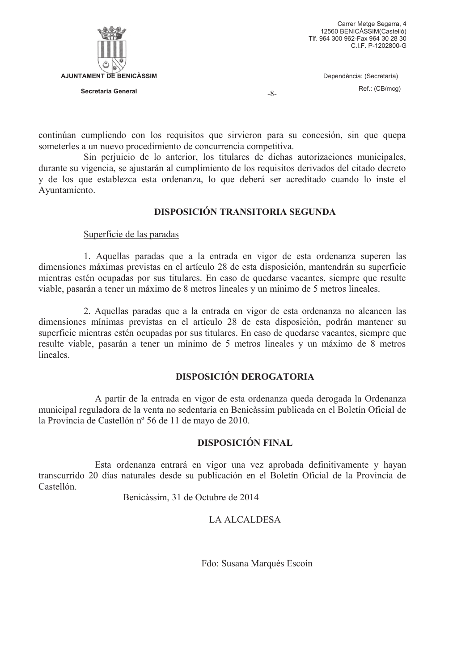

 $-8-$ 

continúan cumpliendo con los requisitos que sirvieron para su concesión, sin que quepa someterles a un nuevo procedimiento de concurrencia competitiva.

Sin periuicio de lo anterior, los titulares de dichas autorizaciones municipales, durante su vigencia, se ajustarán al cumplimiento de los requisitos derivados del citado decreto y de los que establezca esta ordenanza, lo que deberá ser acreditado cuando lo inste el Avuntamiento.

# **DISPOSICIÓN TRANSITORIA SEGUNDA**

Superficie de las paradas

1. Aquellas paradas que a la entrada en vigor de esta ordenanza superen las dimensiones máximas previstas en el artículo 28 de esta disposición, mantendrán su superficie mientras estén ocupadas por sus titulares. En caso de quedarse vacantes, siempre que resulte viable, pasarán a tener un máximo de 8 metros lineales y un mínimo de 5 metros lineales.

2. Aquellas paradas que a la entrada en vigor de esta ordenanza no alcancen las dimensiones mínimas previstas en el artículo 28 de esta disposición, podrán mantener su superficie mientras estén ocupadas por sus titulares. En caso de quedarse vacantes, siempre que resulte viable, pasarán a tener un mínimo de 5 metros lineales y un máximo de 8 metros lineales

# **DISPOSICIÓN DEROGATORIA**

A partir de la entrada en vigor de esta ordenanza queda derogada la Ordenanza municipal reguladora de la venta no sedentaria en Benicàssim publicada en el Boletín Oficial de la Provincia de Castellón nº 56 de 11 de mayo de 2010.

# **DISPOSICIÓN FINAL**

Esta ordenanza entrará en vigor una vez aprobada definitivamente y hayan transcurrido 20 días naturales desde su publicación en el Boletín Oficial de la Provincia de Castellón

Benicàssim, 31 de Octubre de 2014

# **LA ALCALDESA**

Fdo: Susana Marqués Escoín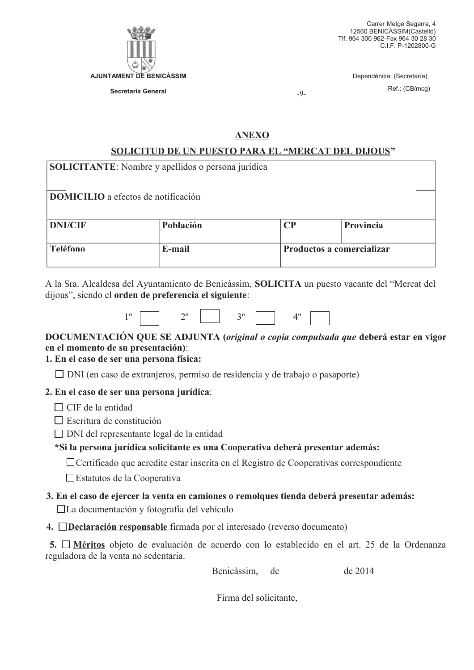

Secretaria General

Carrer Metge Segarra, 4 12560 BENICASSIM(Castelló) Tlf. 964 300 962-Fax 964 30 28 30 C.I.F. P-1202800-G

> Dependència: (Secretaría) Ref.: (CB/mcg)

 $-9-$ 

# **ANEXO**

# SOLICITUD DE UN PUESTO PARA EL "MERCAT DEL DIJOUS"

| <b>SOLICITANTE:</b> Nombre y apellidos o persona jurídica |           |                           |           |  |  |  |  |  |
|-----------------------------------------------------------|-----------|---------------------------|-----------|--|--|--|--|--|
| <b>DOMICILIO</b> a efectos de notificación                |           |                           |           |  |  |  |  |  |
| <b>DNI/CIF</b>                                            | Población | CР                        | Provincia |  |  |  |  |  |
| Teléfono                                                  | E-mail    | Productos a comercializar |           |  |  |  |  |  |

A la Sra. Alcaldesa del Ayuntamiento de Benicàssim, SOLICITA un puesto vacante del "Mercat del dijous", siendo el **orden de preferencia el siguiente**:

|--|--|--|--|--|--|--|--|--|

# DOCUMENTACIÓN QUE SE ADJUNTA (*original o copia compulsada que* deberá estar en vigor en el momento de su presentación):

# 1. En el caso de ser una persona física:

 $\Box$  DNI (en caso de extranjeros, permiso de residencia y de trabajo o pasaporte)

# 2. En el caso de ser una persona jurídica:

 $\Box$  CIF de la entidad

- $\Box$  Escritura de constitución
- $\Box$  DNI del representante legal de la entidad

# \*Si la persona jurídica solicitante es una Cooperativa deberá presentar además:

□ Certificado que acredite estar inscrita en el Registro de Cooperativas correspondiente

- □ Estatutos de la Cooperativa
- 3. En el caso de ejercer la venta en camiones o remolques tienda deberá presentar además:  $\Box$ La documentación y fotografía del vehículo
- 4. Declaración responsable firmada por el interesado (reverso documento)

5. <sup>I</sup> Méritos objeto de evaluación de acuerdo con lo establecido en el art. 25 de la Ordenanza reguladora de la venta no sedentaria.

> Benicàssim. de 2014 de

Firma del solicitante.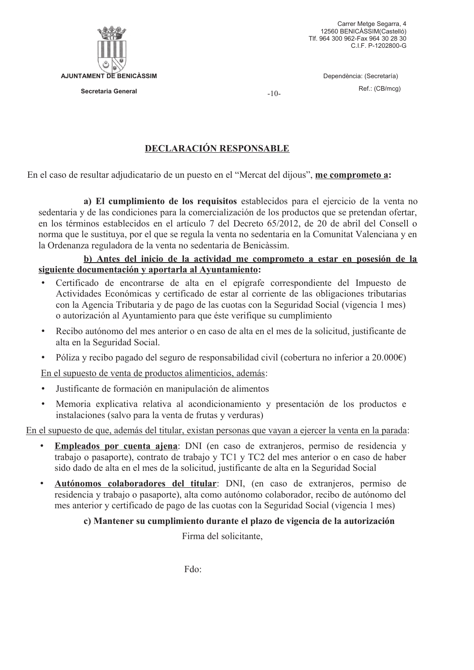

Carrer Metge Segarra, 4 12560 BENICASSIM(Castelló) Tlf. 964 300 962-Fax 964 30 28 30 C.I.F. P-1202800-G

> Dependència: (Secretaría) Ref.: (CB/mcg)

 $-10-$ 

# **DECLARACIÓN RESPONSABLE**

En el caso de resultar adjudicatario de un puesto en el "Mercat del dijous", me comprometo a:

a) El cumplimiento de los requisitos establecidos para el ejercicio de la venta no sedentaria y de las condiciones para la comercialización de los productos que se pretendan ofertar, en los términos establecidos en el artículo 7 del Decreto 65/2012, de 20 de abril del Consell o norma que le sustituva, por el que se regula la venta no sedentaria en la Comunitat Valenciana y en la Ordenanza reguladora de la venta no sedentaria de Benicàssim.

# b) Antes del inicio de la actividad me comprometo a estar en posesión de la siguiente documentación y aportarla al Avuntamiento:

- Certificado de encontrarse de alta en el epígrafe correspondiente del Impuesto de Actividades Económicas y certificado de estar al corriente de las obligaciones tributarias con la Agencia Tributaria y de pago de las cuotas con la Seguridad Social (vigencia 1 mes) o autorización al Ayuntamiento para que éste verifique su cumplimiento
- Recibo autónomo del mes anterior o en caso de alta en el mes de la solicitud, justificante de  $\bullet$ alta en la Seguridad Social.
- $\bullet$ Póliza y recibo pagado del seguro de responsabilidad civil (cobertura no inferior a  $20.000 \in$ )

En el supuesto de venta de productos alimenticios, además:

- Justificante de formación en manipulación de alimentos  $\bullet$
- Memoria explicativa relativa al acondicionamiento y presentación de los productos e  $\bullet$ instalaciones (salvo para la venta de frutas y verduras)

En el supuesto de que, además del titular, existan personas que vayan a ejercer la venta en la parada:

- Empleados por cuenta ajena: DNI (en caso de extranjeros, permiso de residencia y  $\bullet$ trabajo o pasaporte), contrato de trabajo y TC1 y TC2 del mes anterior o en caso de haber sido dado de alta en el mes de la solicitud, justificante de alta en la Seguridad Social
- Autónomos colaboradores del titular: DNI, (en caso de extranjeros, permiso de  $\bullet$ residencia y trabajo o pasaporte), alta como autónomo colaborador, recibo de autónomo del mes anterior y certificado de pago de las cuotas con la Seguridad Social (vigencia 1 mes)

# c) Mantener su cumplimiento durante el plazo de vigencia de la autorización

Firma del solicitante.

Fdo: